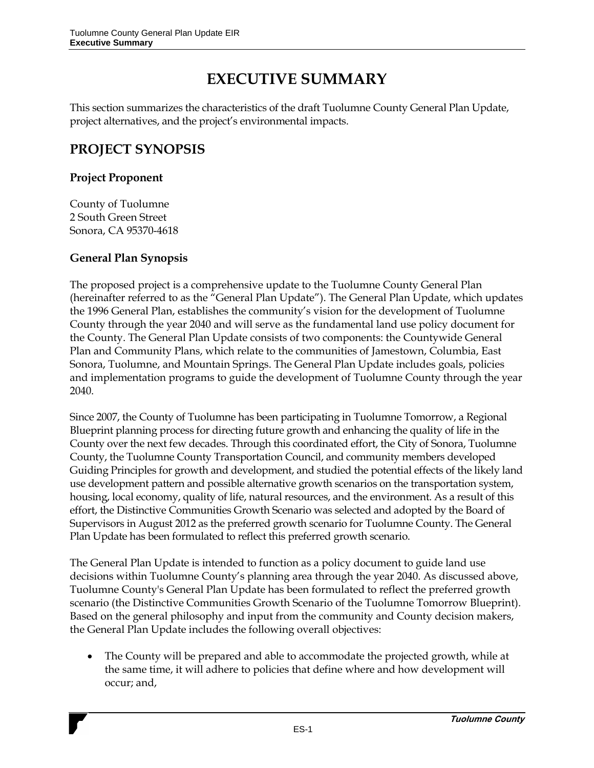# **EXECUTIVE SUMMARY**

This section summarizes the characteristics of the draft Tuolumne County General Plan Update, project alternatives, and the project's environmental impacts.

### **PROJECT SYNOPSIS**

### **Project Proponent**

County of Tuolumne 2 South Green Street Sonora, CA 95370-4618

### **General Plan Synopsis**

The proposed project is a comprehensive update to the Tuolumne County General Plan (hereinafter referred to as the "General Plan Update"). The General Plan Update, which updates the 1996 General Plan, establishes the community's vision for the development of Tuolumne County through the year 2040 and will serve as the fundamental land use policy document for the County. The General Plan Update consists of two components: the Countywide General Plan and Community Plans, which relate to the communities of Jamestown, Columbia, East Sonora, Tuolumne, and Mountain Springs. The General Plan Update includes goals, policies and implementation programs to guide the development of Tuolumne County through the year 2040.

Since 2007, the County of Tuolumne has been participating in Tuolumne Tomorrow, a Regional Blueprint planning process for directing future growth and enhancing the quality of life in the County over the next few decades. Through this coordinated effort, the City of Sonora, Tuolumne County, the Tuolumne County Transportation Council, and community members developed Guiding Principles for growth and development, and studied the potential effects of the likely land use development pattern and possible alternative growth scenarios on the transportation system, housing, local economy, quality of life, natural resources, and the environment. As a result of this effort, the Distinctive Communities Growth Scenario was selected and adopted by the Board of Supervisors in August 2012 as the preferred growth scenario for Tuolumne County. The General Plan Update has been formulated to reflect this preferred growth scenario.

The General Plan Update is intended to function as a policy document to guide land use decisions within Tuolumne County's planning area through the year 2040. As discussed above, Tuolumne County's General Plan Update has been formulated to reflect the preferred growth scenario (the Distinctive Communities Growth Scenario of the Tuolumne Tomorrow Blueprint). Based on the general philosophy and input from the community and County decision makers, the General Plan Update includes the following overall objectives:

 The County will be prepared and able to accommodate the projected growth, while at the same time, it will adhere to policies that define where and how development will occur; and,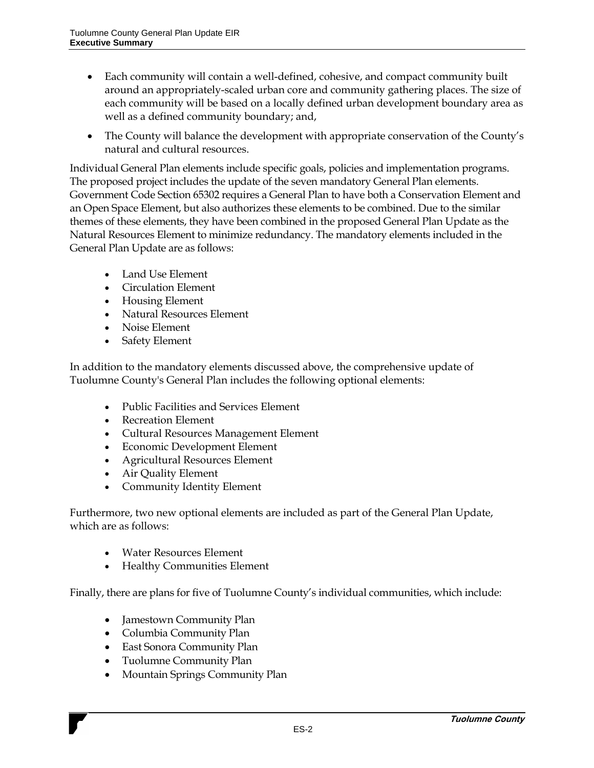- Each community will contain a well-defined, cohesive, and compact community built around an appropriately-scaled urban core and community gathering places. The size of each community will be based on a locally defined urban development boundary area as well as a defined community boundary; and,
- The County will balance the development with appropriate conservation of the County's natural and cultural resources.

Individual General Plan elements include specific goals, policies and implementation programs. The proposed project includes the update of the seven mandatory General Plan elements. Government Code Section 65302 requires a General Plan to have both a Conservation Element and an Open Space Element, but also authorizes these elements to be combined. Due to the similar themes of these elements, they have been combined in the proposed General Plan Update as the Natural Resources Element to minimize redundancy. The mandatory elements included in the General Plan Update are as follows:

- Land Use Element
- Circulation Element
- Housing Element
- Natural Resources Element
- Noise Element
- Safety Element

In addition to the mandatory elements discussed above, the comprehensive update of Tuolumne County's General Plan includes the following optional elements:

- Public Facilities and Services Element
- Recreation Element
- Cultural Resources Management Element
- Economic Development Element
- Agricultural Resources Element
- Air Quality Element
- Community Identity Element

Furthermore, two new optional elements are included as part of the General Plan Update, which are as follows:

- Water Resources Element
- Healthy Communities Element

Finally, there are plans for five of Tuolumne County's individual communities, which include:

- Jamestown Community Plan
- Columbia Community Plan
- East Sonora Community Plan
- Tuolumne Community Plan
- Mountain Springs Community Plan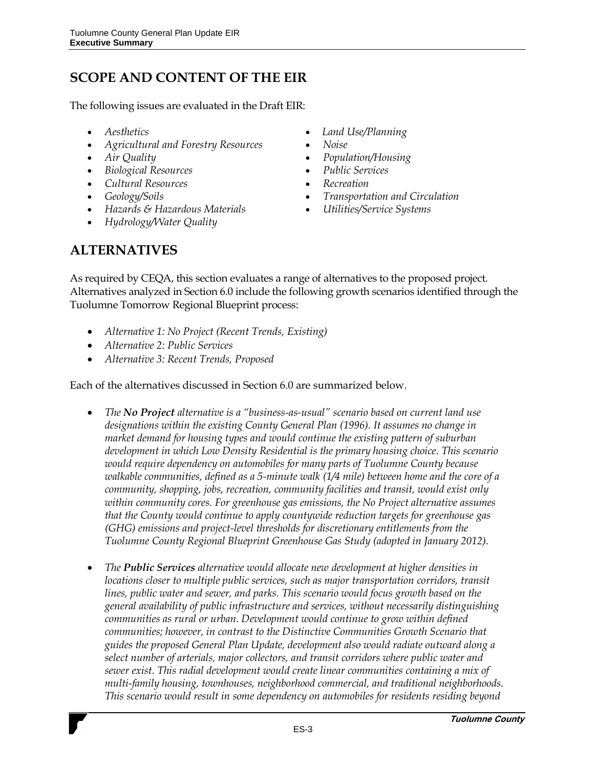## **SCOPE AND CONTENT OF THE EIR**

The following issues are evaluated in the Draft EIR:

- 
- *Agricultural and Forestry Resources Noise*
- 
- *Biological Resources Public Services*
- Cultural Resources **•** *Recreation*
- 
- *Hazards & Hazardous Materials Utilities/Service Systems*
- *Hydrology/Water Quality*
- *Aesthetics Land Use/Planning*
	-
- *Air Quality Population/Housing*
	-
	-
- *Geology/Soils Transportation and Circulation*
	-

### **ALTERNATIVES**

As required by CEQA, this section evaluates a range of alternatives to the proposed project. Alternatives analyzed in Section 6.0 include the following growth scenarios identified through the Tuolumne Tomorrow Regional Blueprint process:

- *Alternative 1: No Project (Recent Trends, Existing)*
- *Alternative 2: Public Services*
- *Alternative 3: Recent Trends, Proposed*

Each of the alternatives discussed in Section 6.0 are summarized below.

- *The No Project alternative is a "business-as-usual" scenario based on current land use designations within the existing County General Plan (1996). It assumes no change in market demand for housing types and would continue the existing pattern of suburban development in which Low Density Residential is the primary housing choice. This scenario would require dependency on automobiles for many parts of Tuolumne County because walkable communities, defined as a 5-minute walk (1/4 mile) between home and the core of a community, shopping, jobs, recreation, community facilities and transit, would exist only within community cores. For greenhouse gas emissions, the No Project alternative assumes that the County would continue to apply countywide reduction targets for greenhouse gas (GHG) emissions and project-level thresholds for discretionary entitlements from the Tuolumne County Regional Blueprint Greenhouse Gas Study (adopted in January 2012).*
- *The Public Services alternative would allocate new development at higher densities in locations closer to multiple public services, such as major transportation corridors, transit lines, public water and sewer, and parks. This scenario would focus growth based on the general availability of public infrastructure and services, without necessarily distinguishing communities as rural or urban. Development would continue to grow within defined communities; however, in contrast to the Distinctive Communities Growth Scenario that guides the proposed General Plan Update, development also would radiate outward along a select number of arterials, major collectors, and transit corridors where public water and sewer exist. This radial development would create linear communities containing a mix of multi-family housing, townhouses, neighborhood commercial, and traditional neighborhoods. This scenario would result in some dependency on automobiles for residents residing beyond*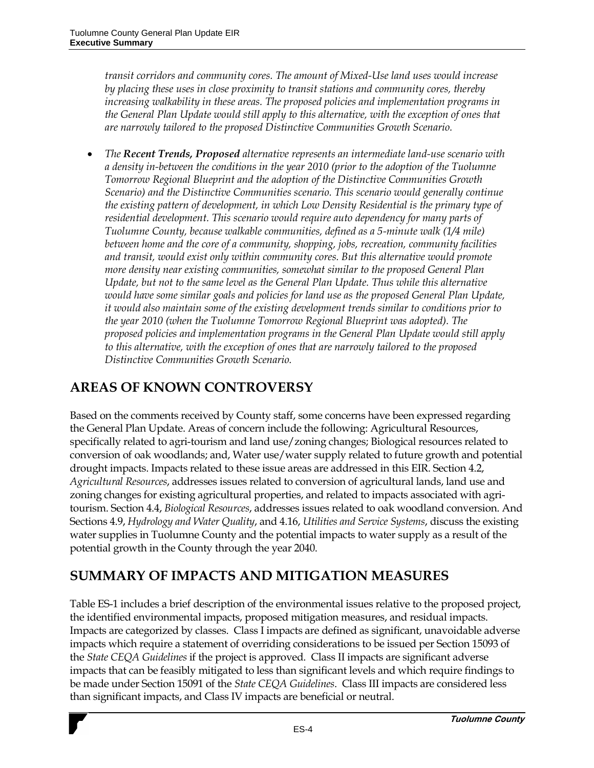*transit corridors and community cores. The amount of Mixed-Use land uses would increase by placing these uses in close proximity to transit stations and community cores, thereby increasing walkability in these areas. The proposed policies and implementation programs in the General Plan Update would still apply to this alternative, with the exception of ones that are narrowly tailored to the proposed Distinctive Communities Growth Scenario.*

 *The Recent Trends, Proposed alternative represents an intermediate land-use scenario with a density in-between the conditions in the year 2010 (prior to the adoption of the Tuolumne Tomorrow Regional Blueprint and the adoption of the Distinctive Communities Growth Scenario) and the Distinctive Communities scenario. This scenario would generally continue the existing pattern of development, in which Low Density Residential is the primary type of*  residential development. This scenario would require auto dependency for many parts of *Tuolumne County, because walkable communities, defined as a 5-minute walk (1/4 mile) between home and the core of a community, shopping, jobs, recreation, community facilities and transit, would exist only within community cores. But this alternative would promote more density near existing communities, somewhat similar to the proposed General Plan Update, but not to the same level as the General Plan Update. Thus while this alternative would have some similar goals and policies for land use as the proposed General Plan Update, it would also maintain some of the existing development trends similar to conditions prior to the year 2010 (when the Tuolumne Tomorrow Regional Blueprint was adopted). The proposed policies and implementation programs in the General Plan Update would still apply to this alternative, with the exception of ones that are narrowly tailored to the proposed Distinctive Communities Growth Scenario.*

# **AREAS OF KNOWN CONTROVERSY**

Based on the comments received by County staff, some concerns have been expressed regarding the General Plan Update. Areas of concern include the following: Agricultural Resources, specifically related to agri-tourism and land use/zoning changes; Biological resources related to conversion of oak woodlands; and, Water use/water supply related to future growth and potential drought impacts. Impacts related to these issue areas are addressed in this EIR. Section 4.2, *Agricultural Resources*, addresses issues related to conversion of agricultural lands, land use and zoning changes for existing agricultural properties, and related to impacts associated with agritourism. Section 4.4, *Biological Resources*, addresses issues related to oak woodland conversion. And Sections 4.9, *Hydrology and Water Quality*, and 4.16, *Utilities and Service Systems*, discuss the existing water supplies in Tuolumne County and the potential impacts to water supply as a result of the potential growth in the County through the year 2040.

## **SUMMARY OF IMPACTS AND MITIGATION MEASURES**

Table ES-1 includes a brief description of the environmental issues relative to the proposed project, the identified environmental impacts, proposed mitigation measures, and residual impacts. Impacts are categorized by classes. Class I impacts are defined as significant, unavoidable adverse impacts which require a statement of overriding considerations to be issued per Section 15093 of the *State CEQA Guidelines* if the project is approved. Class II impacts are significant adverse impacts that can be feasibly mitigated to less than significant levels and which require findings to be made under Section 15091 of the *State CEQA Guidelines*. Class III impacts are considered less than significant impacts, and Class IV impacts are beneficial or neutral.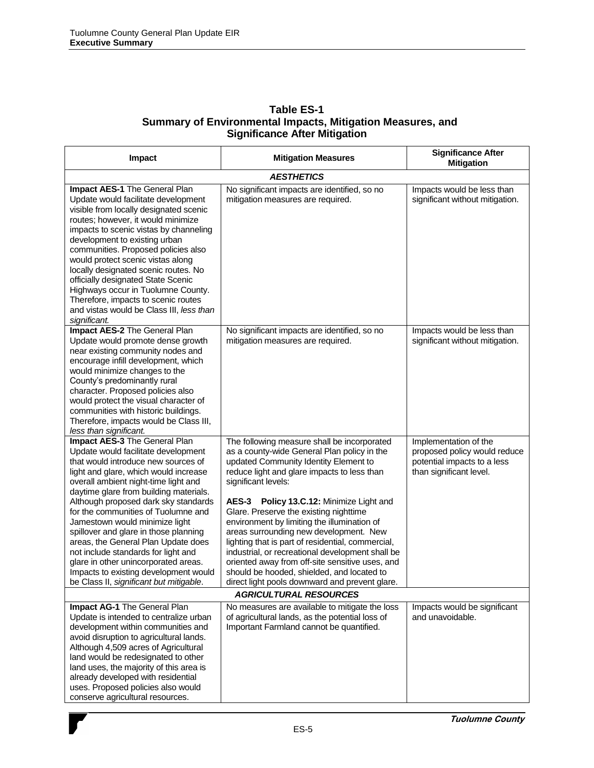| <b>Table ES-1</b>                                          |  |
|------------------------------------------------------------|--|
| Summary of Environmental Impacts, Mitigation Measures, and |  |
| <b>Significance After Mitigation</b>                       |  |

| Impact                                                                                                                                                                                                                                                                                                                                                                                                                                                                                                                                                                                                     | <b>Mitigation Measures</b>                                                                                                                                                                                                                                                                                                                                                                                                                                                                                                                                                                                                                           | <b>Significance After</b><br><b>Mitigation</b>                                                                  |
|------------------------------------------------------------------------------------------------------------------------------------------------------------------------------------------------------------------------------------------------------------------------------------------------------------------------------------------------------------------------------------------------------------------------------------------------------------------------------------------------------------------------------------------------------------------------------------------------------------|------------------------------------------------------------------------------------------------------------------------------------------------------------------------------------------------------------------------------------------------------------------------------------------------------------------------------------------------------------------------------------------------------------------------------------------------------------------------------------------------------------------------------------------------------------------------------------------------------------------------------------------------------|-----------------------------------------------------------------------------------------------------------------|
|                                                                                                                                                                                                                                                                                                                                                                                                                                                                                                                                                                                                            | <b>AESTHETICS</b>                                                                                                                                                                                                                                                                                                                                                                                                                                                                                                                                                                                                                                    |                                                                                                                 |
| Impact AES-1 The General Plan<br>Update would facilitate development<br>visible from locally designated scenic<br>routes; however, it would minimize<br>impacts to scenic vistas by channeling<br>development to existing urban<br>communities. Proposed policies also<br>would protect scenic vistas along<br>locally designated scenic routes. No<br>officially designated State Scenic<br>Highways occur in Tuolumne County.<br>Therefore, impacts to scenic routes<br>and vistas would be Class III, less than<br>significant.                                                                         | No significant impacts are identified, so no<br>mitigation measures are required.                                                                                                                                                                                                                                                                                                                                                                                                                                                                                                                                                                    | Impacts would be less than<br>significant without mitigation.                                                   |
| Impact AES-2 The General Plan<br>Update would promote dense growth<br>near existing community nodes and<br>encourage infill development, which<br>would minimize changes to the<br>County's predominantly rural<br>character. Proposed policies also<br>would protect the visual character of<br>communities with historic buildings.<br>Therefore, impacts would be Class III,<br>less than significant.                                                                                                                                                                                                  | No significant impacts are identified, so no<br>mitigation measures are required.                                                                                                                                                                                                                                                                                                                                                                                                                                                                                                                                                                    | Impacts would be less than<br>significant without mitigation.                                                   |
| Impact AES-3 The General Plan<br>Update would facilitate development<br>that would introduce new sources of<br>light and glare, which would increase<br>overall ambient night-time light and<br>daytime glare from building materials.<br>Although proposed dark sky standards<br>for the communities of Tuolumne and<br>Jamestown would minimize light<br>spillover and glare in those planning<br>areas, the General Plan Update does<br>not include standards for light and<br>glare in other unincorporated areas.<br>Impacts to existing development would<br>be Class II, significant but mitigable. | The following measure shall be incorporated<br>as a county-wide General Plan policy in the<br>updated Community Identity Element to<br>reduce light and glare impacts to less than<br>significant levels:<br>AES-3 Policy 13.C.12: Minimize Light and<br>Glare. Preserve the existing nighttime<br>environment by limiting the illumination of<br>areas surrounding new development. New<br>lighting that is part of residential, commercial,<br>industrial, or recreational development shall be<br>oriented away from off-site sensitive uses, and<br>should be hooded, shielded, and located to<br>direct light pools downward and prevent glare. | Implementation of the<br>proposed policy would reduce<br>potential impacts to a less<br>than significant level. |
| <b>AGRICULTURAL RESOURCES</b>                                                                                                                                                                                                                                                                                                                                                                                                                                                                                                                                                                              |                                                                                                                                                                                                                                                                                                                                                                                                                                                                                                                                                                                                                                                      |                                                                                                                 |
| Impact AG-1 The General Plan<br>Update is intended to centralize urban<br>development within communities and<br>avoid disruption to agricultural lands.<br>Although 4,509 acres of Agricultural<br>land would be redesignated to other<br>land uses, the majority of this area is<br>already developed with residential<br>uses. Proposed policies also would<br>conserve agricultural resources.                                                                                                                                                                                                          | No measures are available to mitigate the loss<br>of agricultural lands, as the potential loss of<br>Important Farmland cannot be quantified.                                                                                                                                                                                                                                                                                                                                                                                                                                                                                                        | Impacts would be significant<br>and unavoidable.                                                                |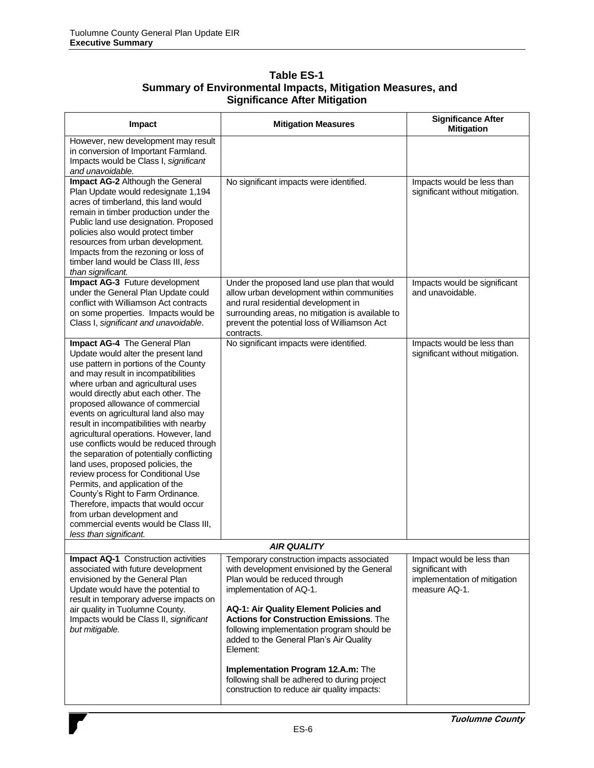| <b>Table ES-1</b>                                          |  |
|------------------------------------------------------------|--|
| Summary of Environmental Impacts, Mitigation Measures, and |  |
| <b>Significance After Mitigation</b>                       |  |

| Impact                                                                                                                                                                                                                                                                                                                                                                                                                                                                                                                                                                                                                                                                                                                                                                             | <b>Mitigation Measures</b>                                                                                                                                                                                                                                                                                                                                                                                                                                                                | <b>Significance After</b><br><b>Mitigation</b>                                                 |
|------------------------------------------------------------------------------------------------------------------------------------------------------------------------------------------------------------------------------------------------------------------------------------------------------------------------------------------------------------------------------------------------------------------------------------------------------------------------------------------------------------------------------------------------------------------------------------------------------------------------------------------------------------------------------------------------------------------------------------------------------------------------------------|-------------------------------------------------------------------------------------------------------------------------------------------------------------------------------------------------------------------------------------------------------------------------------------------------------------------------------------------------------------------------------------------------------------------------------------------------------------------------------------------|------------------------------------------------------------------------------------------------|
| However, new development may result<br>in conversion of Important Farmland.<br>Impacts would be Class I, significant<br>and unavoidable.                                                                                                                                                                                                                                                                                                                                                                                                                                                                                                                                                                                                                                           |                                                                                                                                                                                                                                                                                                                                                                                                                                                                                           |                                                                                                |
| Impact AG-2 Although the General<br>Plan Update would redesignate 1,194<br>acres of timberland, this land would<br>remain in timber production under the<br>Public land use designation. Proposed<br>policies also would protect timber<br>resources from urban development.<br>Impacts from the rezoning or loss of<br>timber land would be Class III, less<br>than significant.                                                                                                                                                                                                                                                                                                                                                                                                  | No significant impacts were identified.                                                                                                                                                                                                                                                                                                                                                                                                                                                   | Impacts would be less than<br>significant without mitigation.                                  |
| Impact AG-3 Future development<br>under the General Plan Update could<br>conflict with Williamson Act contracts<br>on some properties. Impacts would be<br>Class I, significant and unavoidable.                                                                                                                                                                                                                                                                                                                                                                                                                                                                                                                                                                                   | Under the proposed land use plan that would<br>allow urban development within communities<br>and rural residential development in<br>surrounding areas, no mitigation is available to<br>prevent the potential loss of Williamson Act<br>contracts.                                                                                                                                                                                                                                       | Impacts would be significant<br>and unavoidable.                                               |
| Impact AG-4 The General Plan<br>Update would alter the present land<br>use pattern in portions of the County<br>and may result in incompatibilities<br>where urban and agricultural uses<br>would directly abut each other. The<br>proposed allowance of commercial<br>events on agricultural land also may<br>result in incompatibilities with nearby<br>agricultural operations. However, land<br>use conflicts would be reduced through<br>the separation of potentially conflicting<br>land uses, proposed policies, the<br>review process for Conditional Use<br>Permits, and application of the<br>County's Right to Farm Ordinance.<br>Therefore, impacts that would occur<br>from urban development and<br>commercial events would be Class III,<br>less than significant. | No significant impacts were identified.                                                                                                                                                                                                                                                                                                                                                                                                                                                   | Impacts would be less than<br>significant without mitigation.                                  |
|                                                                                                                                                                                                                                                                                                                                                                                                                                                                                                                                                                                                                                                                                                                                                                                    | <b>AIR QUALITY</b>                                                                                                                                                                                                                                                                                                                                                                                                                                                                        |                                                                                                |
| <b>Impact AQ-1</b> Construction activities<br>associated with future development<br>envisioned by the General Plan<br>Update would have the potential to<br>result in temporary adverse impacts on<br>air quality in Tuolumne County.<br>Impacts would be Class II, significant<br>but mitigable.                                                                                                                                                                                                                                                                                                                                                                                                                                                                                  | Temporary construction impacts associated<br>with development envisioned by the General<br>Plan would be reduced through<br>implementation of AQ-1.<br>AQ-1: Air Quality Element Policies and<br><b>Actions for Construction Emissions. The</b><br>following implementation program should be<br>added to the General Plan's Air Quality<br>Element:<br>Implementation Program 12.A.m: The<br>following shall be adhered to during project<br>construction to reduce air quality impacts: | Impact would be less than<br>significant with<br>implementation of mitigation<br>measure AQ-1. |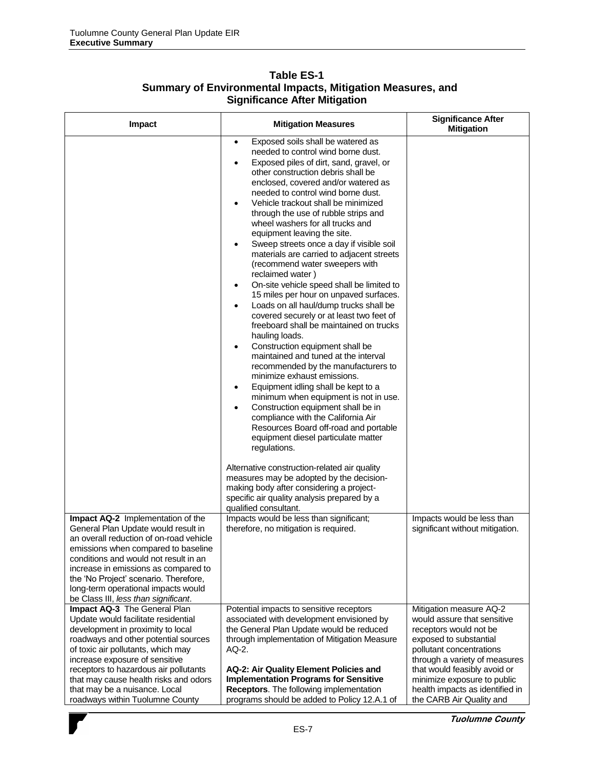| Impact                                                                                                                                                                                                                                                                                                                                                                         | <b>Mitigation Measures</b>                                                                                                                                                                                                                                                                                                                                                                                                                                                                                                                                                                                                                                                                                                                                                                                                                                                                                                                                                                                                                                                                                                                                                                                                                                                                                                                                                                                                                                                                                                                                                                                             | <b>Significance After</b><br><b>Mitigation</b>                                                                                                                                                                                                                                                        |
|--------------------------------------------------------------------------------------------------------------------------------------------------------------------------------------------------------------------------------------------------------------------------------------------------------------------------------------------------------------------------------|------------------------------------------------------------------------------------------------------------------------------------------------------------------------------------------------------------------------------------------------------------------------------------------------------------------------------------------------------------------------------------------------------------------------------------------------------------------------------------------------------------------------------------------------------------------------------------------------------------------------------------------------------------------------------------------------------------------------------------------------------------------------------------------------------------------------------------------------------------------------------------------------------------------------------------------------------------------------------------------------------------------------------------------------------------------------------------------------------------------------------------------------------------------------------------------------------------------------------------------------------------------------------------------------------------------------------------------------------------------------------------------------------------------------------------------------------------------------------------------------------------------------------------------------------------------------------------------------------------------------|-------------------------------------------------------------------------------------------------------------------------------------------------------------------------------------------------------------------------------------------------------------------------------------------------------|
| Impact AQ-2 Implementation of the<br>General Plan Update would result in<br>an overall reduction of on-road vehicle<br>emissions when compared to baseline<br>conditions and would not result in an<br>increase in emissions as compared to<br>the 'No Project' scenario. Therefore,<br>long-term operational impacts would<br>be Class III, less than significant.            | Exposed soils shall be watered as<br>$\bullet$<br>needed to control wind borne dust.<br>Exposed piles of dirt, sand, gravel, or<br>$\bullet$<br>other construction debris shall be<br>enclosed, covered and/or watered as<br>needed to control wind borne dust.<br>Vehicle trackout shall be minimized<br>$\bullet$<br>through the use of rubble strips and<br>wheel washers for all trucks and<br>equipment leaving the site.<br>Sweep streets once a day if visible soil<br>$\bullet$<br>materials are carried to adjacent streets<br>(recommend water sweepers with<br>reclaimed water)<br>On-site vehicle speed shall be limited to<br>$\bullet$<br>15 miles per hour on unpaved surfaces.<br>Loads on all haul/dump trucks shall be<br>$\bullet$<br>covered securely or at least two feet of<br>freeboard shall be maintained on trucks<br>hauling loads.<br>Construction equipment shall be<br>$\bullet$<br>maintained and tuned at the interval<br>recommended by the manufacturers to<br>minimize exhaust emissions.<br>Equipment idling shall be kept to a<br>$\bullet$<br>minimum when equipment is not in use.<br>Construction equipment shall be in<br>$\bullet$<br>compliance with the California Air<br>Resources Board off-road and portable<br>equipment diesel particulate matter<br>regulations.<br>Alternative construction-related air quality<br>measures may be adopted by the decision-<br>making body after considering a project-<br>specific air quality analysis prepared by a<br>qualified consultant.<br>Impacts would be less than significant;<br>therefore, no mitigation is required. | Impacts would be less than<br>significant without mitigation.                                                                                                                                                                                                                                         |
| Impact AQ-3 The General Plan<br>Update would facilitate residential<br>development in proximity to local<br>roadways and other potential sources<br>of toxic air pollutants, which may<br>increase exposure of sensitive<br>receptors to hazardous air pollutants<br>that may cause health risks and odors<br>that may be a nuisance. Local<br>roadways within Tuolumne County | Potential impacts to sensitive receptors<br>associated with development envisioned by<br>the General Plan Update would be reduced<br>through implementation of Mitigation Measure<br>AQ-2.<br>AQ-2: Air Quality Element Policies and<br><b>Implementation Programs for Sensitive</b><br>Receptors. The following implementation<br>programs should be added to Policy 12.A.1 of                                                                                                                                                                                                                                                                                                                                                                                                                                                                                                                                                                                                                                                                                                                                                                                                                                                                                                                                                                                                                                                                                                                                                                                                                                        | Mitigation measure AQ-2<br>would assure that sensitive<br>receptors would not be<br>exposed to substantial<br>pollutant concentrations<br>through a variety of measures<br>that would feasibly avoid or<br>minimize exposure to public<br>health impacts as identified in<br>the CARB Air Quality and |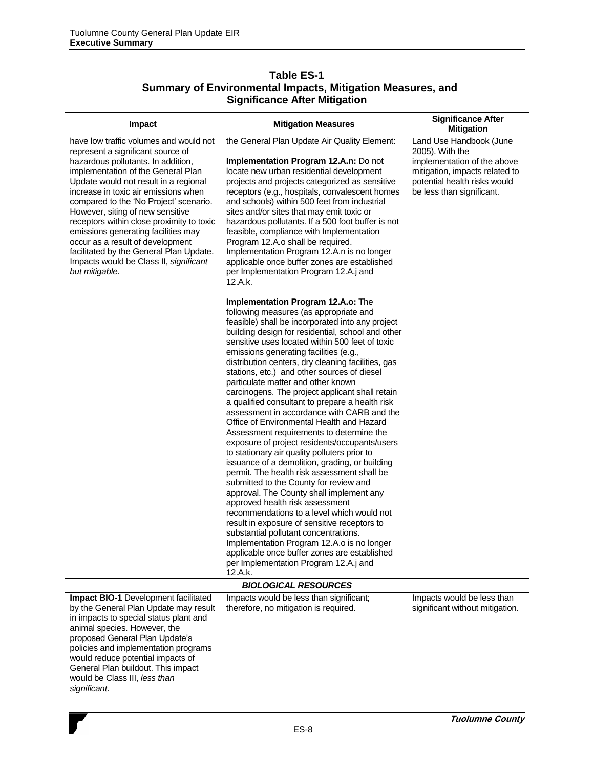| <b>Table ES-1</b>                                          |
|------------------------------------------------------------|
| Summary of Environmental Impacts, Mitigation Measures, and |
| <b>Significance After Mitigation</b>                       |

| Impact                                                                                                                                                                                                                                                                                                                                                                                                                                                                                                                                                | <b>Mitigation Measures</b>                                                                                                                                                                                                                                                                                                                                                                                                                                                                                                                                                                                                                                                                                                                                                                                                                                                                                                                                                                                                                                                                                                                                                                                                                                                                     | <b>Significance After</b><br><b>Mitigation</b>                                                                                                                           |
|-------------------------------------------------------------------------------------------------------------------------------------------------------------------------------------------------------------------------------------------------------------------------------------------------------------------------------------------------------------------------------------------------------------------------------------------------------------------------------------------------------------------------------------------------------|------------------------------------------------------------------------------------------------------------------------------------------------------------------------------------------------------------------------------------------------------------------------------------------------------------------------------------------------------------------------------------------------------------------------------------------------------------------------------------------------------------------------------------------------------------------------------------------------------------------------------------------------------------------------------------------------------------------------------------------------------------------------------------------------------------------------------------------------------------------------------------------------------------------------------------------------------------------------------------------------------------------------------------------------------------------------------------------------------------------------------------------------------------------------------------------------------------------------------------------------------------------------------------------------|--------------------------------------------------------------------------------------------------------------------------------------------------------------------------|
| have low traffic volumes and would not<br>represent a significant source of<br>hazardous pollutants. In addition,<br>implementation of the General Plan<br>Update would not result in a regional<br>increase in toxic air emissions when<br>compared to the 'No Project' scenario.<br>However, siting of new sensitive<br>receptors within close proximity to toxic<br>emissions generating facilities may<br>occur as a result of development<br>facilitated by the General Plan Update.<br>Impacts would be Class II, significant<br>but mitigable. | the General Plan Update Air Quality Element:<br>Implementation Program 12.A.n: Do not<br>locate new urban residential development<br>projects and projects categorized as sensitive<br>receptors (e.g., hospitals, convalescent homes<br>and schools) within 500 feet from industrial<br>sites and/or sites that may emit toxic or<br>hazardous pollutants. If a 500 foot buffer is not<br>feasible, compliance with Implementation<br>Program 12.A.o shall be required.<br>Implementation Program 12.A.n is no longer<br>applicable once buffer zones are established<br>per Implementation Program 12.A.j and<br>12.A.k.                                                                                                                                                                                                                                                                                                                                                                                                                                                                                                                                                                                                                                                                     | Land Use Handbook (June<br>2005). With the<br>implementation of the above<br>mitigation, impacts related to<br>potential health risks would<br>be less than significant. |
|                                                                                                                                                                                                                                                                                                                                                                                                                                                                                                                                                       | Implementation Program 12.A.o: The<br>following measures (as appropriate and<br>feasible) shall be incorporated into any project<br>building design for residential, school and other<br>sensitive uses located within 500 feet of toxic<br>emissions generating facilities (e.g.,<br>distribution centers, dry cleaning facilities, gas<br>stations, etc.) and other sources of diesel<br>particulate matter and other known<br>carcinogens. The project applicant shall retain<br>a qualified consultant to prepare a health risk<br>assessment in accordance with CARB and the<br>Office of Environmental Health and Hazard<br>Assessment requirements to determine the<br>exposure of project residents/occupants/users<br>to stationary air quality polluters prior to<br>issuance of a demolition, grading, or building<br>permit. The health risk assessment shall be<br>submitted to the County for review and<br>approval. The County shall implement any<br>approved health risk assessment<br>recommendations to a level which would not<br>result in exposure of sensitive receptors to<br>substantial pollutant concentrations.<br>Implementation Program 12.A.o is no longer<br>applicable once buffer zones are established<br>per Implementation Program 12.A.j and<br>12.A.k. |                                                                                                                                                                          |
| <b>BIOLOGICAL RESOURCES</b>                                                                                                                                                                                                                                                                                                                                                                                                                                                                                                                           |                                                                                                                                                                                                                                                                                                                                                                                                                                                                                                                                                                                                                                                                                                                                                                                                                                                                                                                                                                                                                                                                                                                                                                                                                                                                                                |                                                                                                                                                                          |
| Impact BIO-1 Development facilitated<br>by the General Plan Update may result<br>in impacts to special status plant and<br>animal species. However, the<br>proposed General Plan Update's<br>policies and implementation programs<br>would reduce potential impacts of<br>General Plan buildout. This impact<br>would be Class III, less than<br>significant.                                                                                                                                                                                         | Impacts would be less than significant;<br>therefore, no mitigation is required.                                                                                                                                                                                                                                                                                                                                                                                                                                                                                                                                                                                                                                                                                                                                                                                                                                                                                                                                                                                                                                                                                                                                                                                                               | Impacts would be less than<br>significant without mitigation.                                                                                                            |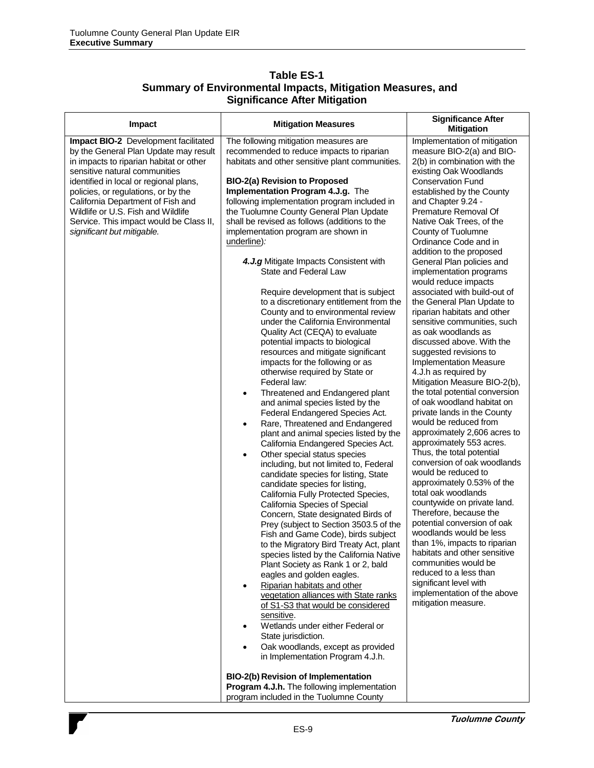| Table ES-1                                                 |  |
|------------------------------------------------------------|--|
| Summary of Environmental Impacts, Mitigation Measures, and |  |
| <b>Significance After Mitigation</b>                       |  |

| Impact                                                                                                                                                                                                                                                                                                                                                                                         | <b>Mitigation Measures</b>                                                                                                                                                                                                                                                                                                                                                                                                                                                                                                                                                                                                                                                                                                                                                                                                                                                                                                                                                                                                                                                                                                                                                                                                                                                                                                                                                                                                                                                                                                                                                                                                                                                                                                                                                                                                                                                                                                                                                                                                                   | <b>Significance After</b><br><b>Mitigation</b>                                                                                                                                                                                                                                                                                                                                                                                                                                                                                                                                                                                                                                                                                                                                                                                                                                                                                                                                                                                                                                                                                                                                                                                                                                                                                                                        |
|------------------------------------------------------------------------------------------------------------------------------------------------------------------------------------------------------------------------------------------------------------------------------------------------------------------------------------------------------------------------------------------------|----------------------------------------------------------------------------------------------------------------------------------------------------------------------------------------------------------------------------------------------------------------------------------------------------------------------------------------------------------------------------------------------------------------------------------------------------------------------------------------------------------------------------------------------------------------------------------------------------------------------------------------------------------------------------------------------------------------------------------------------------------------------------------------------------------------------------------------------------------------------------------------------------------------------------------------------------------------------------------------------------------------------------------------------------------------------------------------------------------------------------------------------------------------------------------------------------------------------------------------------------------------------------------------------------------------------------------------------------------------------------------------------------------------------------------------------------------------------------------------------------------------------------------------------------------------------------------------------------------------------------------------------------------------------------------------------------------------------------------------------------------------------------------------------------------------------------------------------------------------------------------------------------------------------------------------------------------------------------------------------------------------------------------------------|-----------------------------------------------------------------------------------------------------------------------------------------------------------------------------------------------------------------------------------------------------------------------------------------------------------------------------------------------------------------------------------------------------------------------------------------------------------------------------------------------------------------------------------------------------------------------------------------------------------------------------------------------------------------------------------------------------------------------------------------------------------------------------------------------------------------------------------------------------------------------------------------------------------------------------------------------------------------------------------------------------------------------------------------------------------------------------------------------------------------------------------------------------------------------------------------------------------------------------------------------------------------------------------------------------------------------------------------------------------------------|
| Impact BIO-2 Development facilitated<br>by the General Plan Update may result<br>in impacts to riparian habitat or other<br>sensitive natural communities<br>identified in local or regional plans,<br>policies, or regulations, or by the<br>California Department of Fish and<br>Wildlife or U.S. Fish and Wildlife<br>Service. This impact would be Class II,<br>significant but mitigable. | The following mitigation measures are<br>recommended to reduce impacts to riparian<br>habitats and other sensitive plant communities.<br>BIO-2(a) Revision to Proposed<br>Implementation Program 4.J.g. The<br>following implementation program included in<br>the Tuolumne County General Plan Update<br>shall be revised as follows (additions to the<br>implementation program are shown in<br>underline):<br>4.J.g Mitigate Impacts Consistent with<br>State and Federal Law<br>Require development that is subject<br>to a discretionary entitlement from the<br>County and to environmental review<br>under the California Environmental<br>Quality Act (CEQA) to evaluate<br>potential impacts to biological<br>resources and mitigate significant<br>impacts for the following or as<br>otherwise required by State or<br>Federal law:<br>Threatened and Endangered plant<br>٠<br>and animal species listed by the<br>Federal Endangered Species Act.<br>Rare, Threatened and Endangered<br>$\bullet$<br>plant and animal species listed by the<br>California Endangered Species Act.<br>Other special status species<br>٠<br>including, but not limited to, Federal<br>candidate species for listing, State<br>candidate species for listing,<br>California Fully Protected Species,<br>California Species of Special<br>Concern, State designated Birds of<br>Prey (subject to Section 3503.5 of the<br>Fish and Game Code), birds subject<br>to the Migratory Bird Treaty Act, plant<br>species listed by the California Native<br>Plant Society as Rank 1 or 2, bald<br>eagles and golden eagles.<br>Riparian habitats and other<br>$\bullet$<br>vegetation alliances with State ranks<br>of S1-S3 that would be considered<br>sensitive.<br>Wetlands under either Federal or<br>$\bullet$<br>State jurisdiction.<br>Oak woodlands, except as provided<br>٠<br>in Implementation Program 4.J.h.<br>BIO-2(b) Revision of Implementation<br>Program 4.J.h. The following implementation<br>program included in the Tuolumne County | Implementation of mitigation<br>measure BIO-2(a) and BIO-<br>2(b) in combination with the<br>existing Oak Woodlands<br><b>Conservation Fund</b><br>established by the County<br>and Chapter 9.24 -<br>Premature Removal Of<br>Native Oak Trees, of the<br>County of Tuolumne<br>Ordinance Code and in<br>addition to the proposed<br>General Plan policies and<br>implementation programs<br>would reduce impacts<br>associated with build-out of<br>the General Plan Update to<br>riparian habitats and other<br>sensitive communities, such<br>as oak woodlands as<br>discussed above. With the<br>suggested revisions to<br><b>Implementation Measure</b><br>4.J.h as required by<br>Mitigation Measure BIO-2(b),<br>the total potential conversion<br>of oak woodland habitat on<br>private lands in the County<br>would be reduced from<br>approximately 2,606 acres to<br>approximately 553 acres.<br>Thus, the total potential<br>conversion of oak woodlands<br>would be reduced to<br>approximately 0.53% of the<br>total oak woodlands<br>countywide on private land.<br>Therefore, because the<br>potential conversion of oak<br>woodlands would be less<br>than 1%, impacts to riparian<br>habitats and other sensitive<br>communities would be<br>reduced to a less than<br>significant level with<br>implementation of the above<br>mitigation measure. |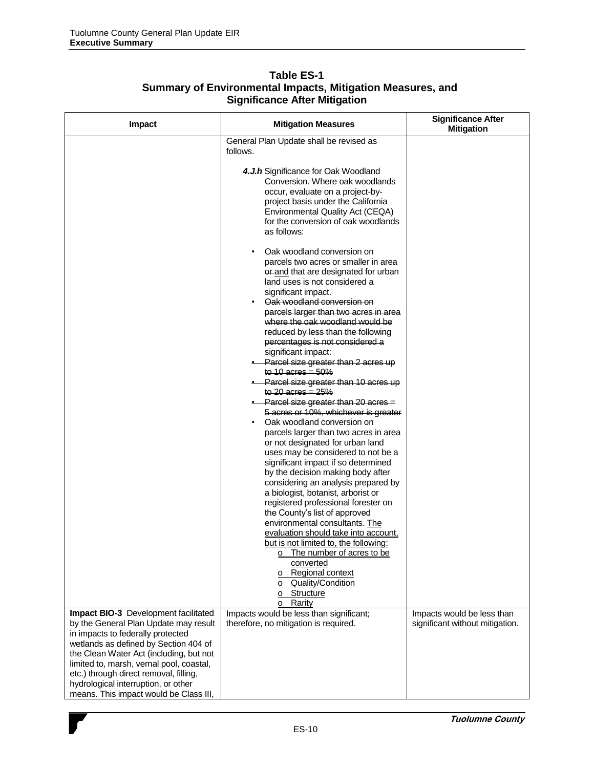| <b>Impact</b>                                                                                                                                                                                                                                                                                                                                                                 | <b>Mitigation Measures</b>                                                                                                                                                                                                                                                                | <b>Significance After</b><br><b>Mitigation</b>                |
|-------------------------------------------------------------------------------------------------------------------------------------------------------------------------------------------------------------------------------------------------------------------------------------------------------------------------------------------------------------------------------|-------------------------------------------------------------------------------------------------------------------------------------------------------------------------------------------------------------------------------------------------------------------------------------------|---------------------------------------------------------------|
|                                                                                                                                                                                                                                                                                                                                                                               | General Plan Update shall be revised as<br>follows.                                                                                                                                                                                                                                       |                                                               |
|                                                                                                                                                                                                                                                                                                                                                                               | 4.J.h Significance for Oak Woodland<br>Conversion. Where oak woodlands<br>occur, evaluate on a project-by-<br>project basis under the California<br>Environmental Quality Act (CEQA)<br>for the conversion of oak woodlands<br>as follows:                                                |                                                               |
|                                                                                                                                                                                                                                                                                                                                                                               | Oak woodland conversion on<br>$\bullet$<br>parcels two acres or smaller in area<br>or and that are designated for urban<br>land uses is not considered a<br>significant impact.<br>Oak woodland conversion on<br>parcels larger than two acres in area<br>where the oak woodland would be |                                                               |
|                                                                                                                                                                                                                                                                                                                                                                               | reduced by less than the following<br>percentages is not considered a<br>significant impact:<br>• Parcel size greater than 2 acres up<br>to $10$ acres = $50\%$<br>• Parcel size greater than 10 acres up                                                                                 |                                                               |
|                                                                                                                                                                                                                                                                                                                                                                               | to $20$ acres = $25%$<br>• Parcel size greater than 20 acres =<br>5 acres or 10%, whichever is greater<br>Oak woodland conversion on<br>$\bullet$<br>parcels larger than two acres in area                                                                                                |                                                               |
|                                                                                                                                                                                                                                                                                                                                                                               | or not designated for urban land<br>uses may be considered to not be a<br>significant impact if so determined<br>by the decision making body after<br>considering an analysis prepared by                                                                                                 |                                                               |
|                                                                                                                                                                                                                                                                                                                                                                               | a biologist, botanist, arborist or<br>registered professional forester on<br>the County's list of approved<br>environmental consultants. The<br>evaluation should take into account,                                                                                                      |                                                               |
|                                                                                                                                                                                                                                                                                                                                                                               | but is not limited to, the following:<br>The number of acres to be<br>converted<br>o Regional context<br>Quality/Condition<br>о<br>Structure<br>o<br>Rarity<br>$\mathsf{o}$                                                                                                               |                                                               |
| Impact BIO-3 Development facilitated<br>by the General Plan Update may result<br>in impacts to federally protected<br>wetlands as defined by Section 404 of<br>the Clean Water Act (including, but not<br>limited to, marsh, vernal pool, coastal,<br>etc.) through direct removal, filling,<br>hydrological interruption, or other<br>means. This impact would be Class III, | Impacts would be less than significant;<br>therefore, no mitigation is required.                                                                                                                                                                                                          | Impacts would be less than<br>significant without mitigation. |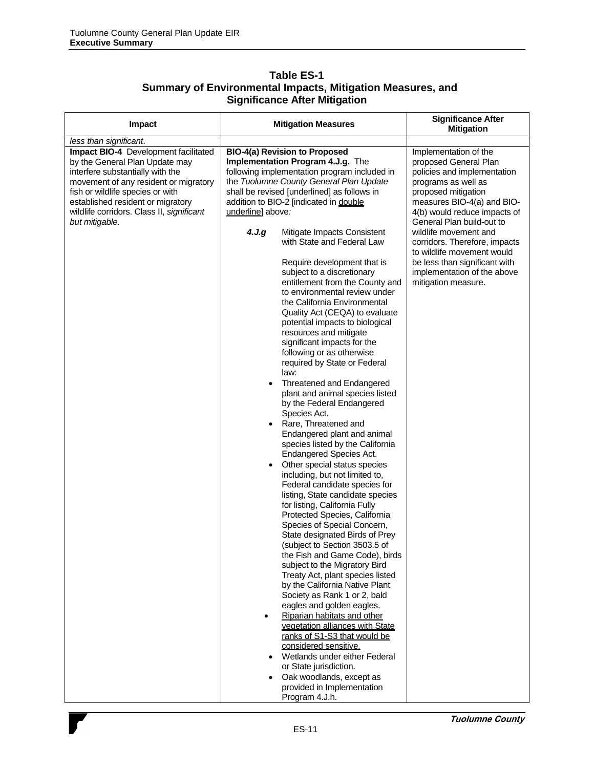| <b>Table ES-1</b>                                          |  |
|------------------------------------------------------------|--|
| Summary of Environmental Impacts, Mitigation Measures, and |  |
| <b>Significance After Mitigation</b>                       |  |

| Impact                                                                                                                                                                                                                                                                                      | <b>Mitigation Measures</b>                                                                                                                                                                                                                                                                                                                                                                                                                                                                                                                                                                                                                                                                                                                                                                                                                                                                                                                                                                                                                                                                                                                                                                                                                                                                                                                                                                                                                                          | <b>Significance After</b><br><b>Mitigation</b>                                                                                                                                                                         |
|---------------------------------------------------------------------------------------------------------------------------------------------------------------------------------------------------------------------------------------------------------------------------------------------|---------------------------------------------------------------------------------------------------------------------------------------------------------------------------------------------------------------------------------------------------------------------------------------------------------------------------------------------------------------------------------------------------------------------------------------------------------------------------------------------------------------------------------------------------------------------------------------------------------------------------------------------------------------------------------------------------------------------------------------------------------------------------------------------------------------------------------------------------------------------------------------------------------------------------------------------------------------------------------------------------------------------------------------------------------------------------------------------------------------------------------------------------------------------------------------------------------------------------------------------------------------------------------------------------------------------------------------------------------------------------------------------------------------------------------------------------------------------|------------------------------------------------------------------------------------------------------------------------------------------------------------------------------------------------------------------------|
| less than significant.                                                                                                                                                                                                                                                                      |                                                                                                                                                                                                                                                                                                                                                                                                                                                                                                                                                                                                                                                                                                                                                                                                                                                                                                                                                                                                                                                                                                                                                                                                                                                                                                                                                                                                                                                                     |                                                                                                                                                                                                                        |
| Impact BIO-4 Development facilitated<br>by the General Plan Update may<br>interfere substantially with the<br>movement of any resident or migratory<br>fish or wildlife species or with<br>established resident or migratory<br>wildlife corridors. Class II, significant<br>but mitigable. | <b>BIO-4(a) Revision to Proposed</b><br>Implementation Program 4.J.g. The<br>following implementation program included in<br>the Tuolumne County General Plan Update<br>shall be revised [underlined] as follows in<br>addition to BIO-2 [indicated in double<br>underline] above:                                                                                                                                                                                                                                                                                                                                                                                                                                                                                                                                                                                                                                                                                                                                                                                                                                                                                                                                                                                                                                                                                                                                                                                  | Implementation of the<br>proposed General Plan<br>policies and implementation<br>programs as well as<br>proposed mitigation<br>measures BIO-4(a) and BIO-<br>4(b) would reduce impacts of<br>General Plan build-out to |
|                                                                                                                                                                                                                                                                                             | 4.J.g<br>Mitigate Impacts Consistent<br>with State and Federal Law<br>Require development that is<br>subject to a discretionary<br>entitlement from the County and<br>to environmental review under<br>the California Environmental<br>Quality Act (CEQA) to evaluate<br>potential impacts to biological<br>resources and mitigate<br>significant impacts for the<br>following or as otherwise<br>required by State or Federal<br>law:<br>Threatened and Endangered<br>plant and animal species listed<br>by the Federal Endangered<br>Species Act.<br>Rare, Threatened and<br>Endangered plant and animal<br>species listed by the California<br><b>Endangered Species Act.</b><br>Other special status species<br>including, but not limited to,<br>Federal candidate species for<br>listing, State candidate species<br>for listing, California Fully<br>Protected Species, California<br>Species of Special Concern,<br>State designated Birds of Prey<br>(subject to Section 3503.5 of<br>the Fish and Game Code), birds<br>subject to the Migratory Bird<br>Treaty Act, plant species listed<br>by the California Native Plant<br>Society as Rank 1 or 2, bald<br>eagles and golden eagles.<br>Riparian habitats and other<br>vegetation alliances with State<br>ranks of S1-S3 that would be<br>considered sensitive.<br>Wetlands under either Federal<br>or State jurisdiction.<br>Oak woodlands, except as<br>provided in Implementation<br>Program 4.J.h. | wildlife movement and<br>corridors. Therefore, impacts<br>to wildlife movement would<br>be less than significant with<br>implementation of the above<br>mitigation measure.                                            |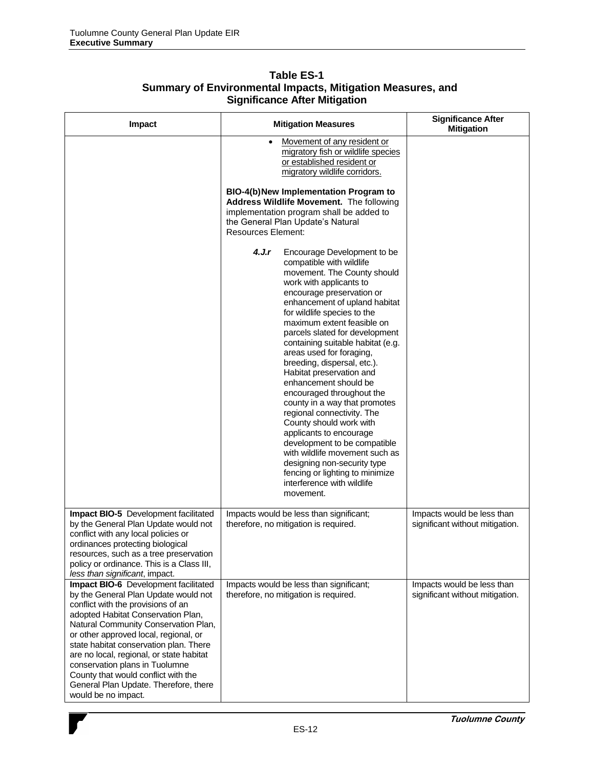| Impact                                                                                                                                                                                                                                                                                                                                                                                                                                                                   | <b>Mitigation Measures</b>                                                                                                                                                                                                                                                                                                                                                                                                                                                                                                                                                                                                                                                                                                                                                    | <b>Significance After</b><br><b>Mitigation</b>                |
|--------------------------------------------------------------------------------------------------------------------------------------------------------------------------------------------------------------------------------------------------------------------------------------------------------------------------------------------------------------------------------------------------------------------------------------------------------------------------|-------------------------------------------------------------------------------------------------------------------------------------------------------------------------------------------------------------------------------------------------------------------------------------------------------------------------------------------------------------------------------------------------------------------------------------------------------------------------------------------------------------------------------------------------------------------------------------------------------------------------------------------------------------------------------------------------------------------------------------------------------------------------------|---------------------------------------------------------------|
|                                                                                                                                                                                                                                                                                                                                                                                                                                                                          | Movement of any resident or<br>migratory fish or wildlife species<br>or established resident or<br>migratory wildlife corridors.<br>BIO-4(b)New Implementation Program to<br>Address Wildlife Movement. The following<br>implementation program shall be added to<br>the General Plan Update's Natural<br><b>Resources Element:</b>                                                                                                                                                                                                                                                                                                                                                                                                                                           |                                                               |
|                                                                                                                                                                                                                                                                                                                                                                                                                                                                          | 4.J.r<br>Encourage Development to be<br>compatible with wildlife<br>movement. The County should<br>work with applicants to<br>encourage preservation or<br>enhancement of upland habitat<br>for wildlife species to the<br>maximum extent feasible on<br>parcels slated for development<br>containing suitable habitat (e.g.<br>areas used for foraging,<br>breeding, dispersal, etc.).<br>Habitat preservation and<br>enhancement should be<br>encouraged throughout the<br>county in a way that promotes<br>regional connectivity. The<br>County should work with<br>applicants to encourage<br>development to be compatible<br>with wildlife movement such as<br>designing non-security type<br>fencing or lighting to minimize<br>interference with wildlife<br>movement. |                                                               |
| Impact BIO-5 Development facilitated<br>by the General Plan Update would not<br>conflict with any local policies or<br>ordinances protecting biological<br>resources, such as a tree preservation<br>policy or ordinance. This is a Class III,<br>less than significant, impact.                                                                                                                                                                                         | Impacts would be less than significant;<br>therefore, no mitigation is required.                                                                                                                                                                                                                                                                                                                                                                                                                                                                                                                                                                                                                                                                                              | Impacts would be less than<br>significant without mitigation. |
| Impact BIO-6 Development facilitated<br>by the General Plan Update would not<br>conflict with the provisions of an<br>adopted Habitat Conservation Plan,<br>Natural Community Conservation Plan,<br>or other approved local, regional, or<br>state habitat conservation plan. There<br>are no local, regional, or state habitat<br>conservation plans in Tuolumne<br>County that would conflict with the<br>General Plan Update. Therefore, there<br>would be no impact. | Impacts would be less than significant;<br>therefore, no mitigation is required.                                                                                                                                                                                                                                                                                                                                                                                                                                                                                                                                                                                                                                                                                              | Impacts would be less than<br>significant without mitigation. |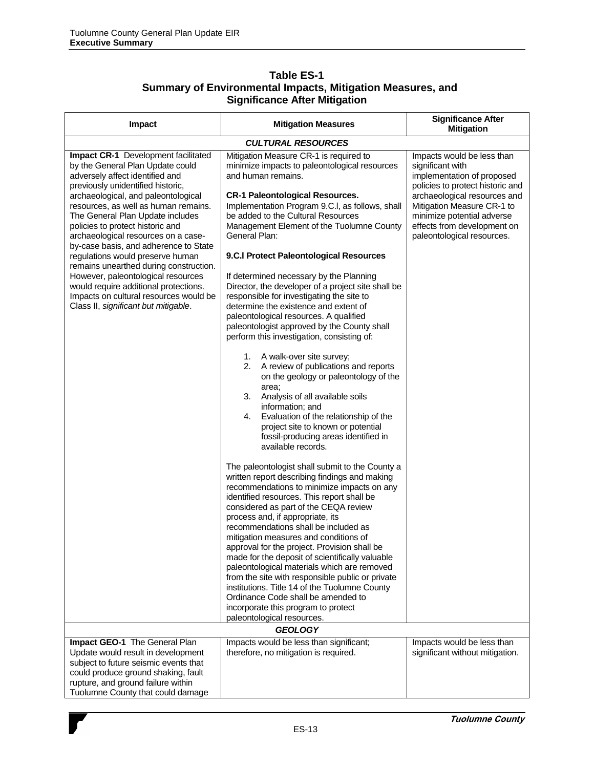| <b>Table ES-1</b>                                          |
|------------------------------------------------------------|
| Summary of Environmental Impacts, Mitigation Measures, and |
| <b>Significance After Mitigation</b>                       |

| <b>Impact</b>                                                                                                                                                                                                                                                                                                                                                                                                                                                                                                                                                                                                                         | <b>Mitigation Measures</b>                                                                                                                                                                                                                                                                                                                                                                                                                                                                                                                                                                                                                                                                                                                                           | <b>Significance After</b><br><b>Mitigation</b>                                                                                                                                                                                                                            |
|---------------------------------------------------------------------------------------------------------------------------------------------------------------------------------------------------------------------------------------------------------------------------------------------------------------------------------------------------------------------------------------------------------------------------------------------------------------------------------------------------------------------------------------------------------------------------------------------------------------------------------------|----------------------------------------------------------------------------------------------------------------------------------------------------------------------------------------------------------------------------------------------------------------------------------------------------------------------------------------------------------------------------------------------------------------------------------------------------------------------------------------------------------------------------------------------------------------------------------------------------------------------------------------------------------------------------------------------------------------------------------------------------------------------|---------------------------------------------------------------------------------------------------------------------------------------------------------------------------------------------------------------------------------------------------------------------------|
|                                                                                                                                                                                                                                                                                                                                                                                                                                                                                                                                                                                                                                       | <b>CULTURAL RESOURCES</b>                                                                                                                                                                                                                                                                                                                                                                                                                                                                                                                                                                                                                                                                                                                                            |                                                                                                                                                                                                                                                                           |
| Impact CR-1 Development facilitated<br>by the General Plan Update could<br>adversely affect identified and<br>previously unidentified historic,<br>archaeological, and paleontological<br>resources, as well as human remains.<br>The General Plan Update includes<br>policies to protect historic and<br>archaeological resources on a case-<br>by-case basis, and adherence to State<br>regulations would preserve human<br>remains unearthed during construction.<br>However, paleontological resources<br>would require additional protections.<br>Impacts on cultural resources would be<br>Class II, significant but mitigable. | Mitigation Measure CR-1 is required to<br>minimize impacts to paleontological resources<br>and human remains.<br><b>CR-1 Paleontological Resources.</b><br>Implementation Program 9.C.I, as follows, shall<br>be added to the Cultural Resources<br>Management Element of the Tuolumne County<br>General Plan:<br>9.C.I Protect Paleontological Resources<br>If determined necessary by the Planning<br>Director, the developer of a project site shall be<br>responsible for investigating the site to<br>determine the existence and extent of<br>paleontological resources. A qualified<br>paleontologist approved by the County shall<br>perform this investigation, consisting of:<br>1. A walk-over site survey;<br>A review of publications and reports<br>2. | Impacts would be less than<br>significant with<br>implementation of proposed<br>policies to protect historic and<br>archaeological resources and<br>Mitigation Measure CR-1 to<br>minimize potential adverse<br>effects from development on<br>paleontological resources. |
|                                                                                                                                                                                                                                                                                                                                                                                                                                                                                                                                                                                                                                       | on the geology or paleontology of the<br>area;<br>3.<br>Analysis of all available soils<br>information; and<br>Evaluation of the relationship of the<br>4.<br>project site to known or potential<br>fossil-producing areas identified in<br>available records.                                                                                                                                                                                                                                                                                                                                                                                                                                                                                                       |                                                                                                                                                                                                                                                                           |
|                                                                                                                                                                                                                                                                                                                                                                                                                                                                                                                                                                                                                                       | The paleontologist shall submit to the County a<br>written report describing findings and making<br>recommendations to minimize impacts on any<br>identified resources. This report shall be<br>considered as part of the CEQA review<br>process and, if appropriate, its<br>recommendations shall be included as<br>mitigation measures and conditions of<br>approval for the project. Provision shall be<br>made for the deposit of scientifically valuable<br>paleontological materials which are removed<br>from the site with responsible public or private<br>institutions. Title 14 of the Tuolumne County<br>Ordinance Code shall be amended to<br>incorporate this program to protect<br>paleontological resources.                                         |                                                                                                                                                                                                                                                                           |
| <b>GEOLOGY</b>                                                                                                                                                                                                                                                                                                                                                                                                                                                                                                                                                                                                                        |                                                                                                                                                                                                                                                                                                                                                                                                                                                                                                                                                                                                                                                                                                                                                                      |                                                                                                                                                                                                                                                                           |
| Impact GEO-1 The General Plan<br>Update would result in development<br>subject to future seismic events that<br>could produce ground shaking, fault<br>rupture, and ground failure within<br>Tuolumne County that could damage                                                                                                                                                                                                                                                                                                                                                                                                        | Impacts would be less than significant;<br>therefore, no mitigation is required.                                                                                                                                                                                                                                                                                                                                                                                                                                                                                                                                                                                                                                                                                     | Impacts would be less than<br>significant without mitigation.                                                                                                                                                                                                             |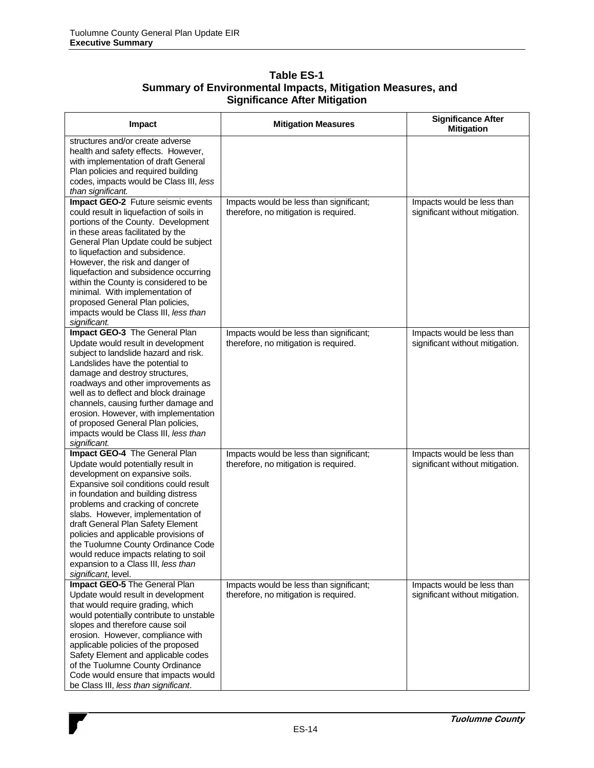| <b>Table ES-1</b>                                          |
|------------------------------------------------------------|
| Summary of Environmental Impacts, Mitigation Measures, and |
| <b>Significance After Mitigation</b>                       |

| Impact                                                                                                                                                                                                                                                                                                                                                                                                                                                                                       | <b>Mitigation Measures</b>                                                       | <b>Significance After</b><br><b>Mitigation</b>                |
|----------------------------------------------------------------------------------------------------------------------------------------------------------------------------------------------------------------------------------------------------------------------------------------------------------------------------------------------------------------------------------------------------------------------------------------------------------------------------------------------|----------------------------------------------------------------------------------|---------------------------------------------------------------|
| structures and/or create adverse<br>health and safety effects. However,<br>with implementation of draft General<br>Plan policies and required building<br>codes, impacts would be Class III, less<br>than significant.                                                                                                                                                                                                                                                                       |                                                                                  |                                                               |
| Impact GEO-2 Future seismic events<br>could result in liquefaction of soils in<br>portions of the County. Development<br>in these areas facilitated by the<br>General Plan Update could be subject<br>to liquefaction and subsidence.<br>However, the risk and danger of<br>liquefaction and subsidence occurring<br>within the County is considered to be<br>minimal. With implementation of<br>proposed General Plan policies,<br>impacts would be Class III, less than<br>significant.    | Impacts would be less than significant;<br>therefore, no mitigation is required. | Impacts would be less than<br>significant without mitigation. |
| Impact GEO-3 The General Plan<br>Update would result in development<br>subject to landslide hazard and risk.<br>Landslides have the potential to<br>damage and destroy structures,<br>roadways and other improvements as<br>well as to deflect and block drainage<br>channels, causing further damage and<br>erosion. However, with implementation<br>of proposed General Plan policies,<br>impacts would be Class III, less than<br>significant.                                            | Impacts would be less than significant;<br>therefore, no mitigation is required. | Impacts would be less than<br>significant without mitigation. |
| Impact GEO-4 The General Plan<br>Update would potentially result in<br>development on expansive soils.<br>Expansive soil conditions could result<br>in foundation and building distress<br>problems and cracking of concrete<br>slabs. However, implementation of<br>draft General Plan Safety Element<br>policies and applicable provisions of<br>the Tuolumne County Ordinance Code<br>would reduce impacts relating to soil<br>expansion to a Class III, less than<br>significant, level. | Impacts would be less than significant;<br>therefore, no mitigation is required. | Impacts would be less than<br>significant without mitigation. |
| Impact GEO-5 The General Plan<br>Update would result in development<br>that would require grading, which<br>would potentially contribute to unstable<br>slopes and therefore cause soil<br>erosion. However, compliance with<br>applicable policies of the proposed<br>Safety Element and applicable codes<br>of the Tuolumne County Ordinance<br>Code would ensure that impacts would<br>be Class III, less than significant.                                                               | Impacts would be less than significant;<br>therefore, no mitigation is required. | Impacts would be less than<br>significant without mitigation. |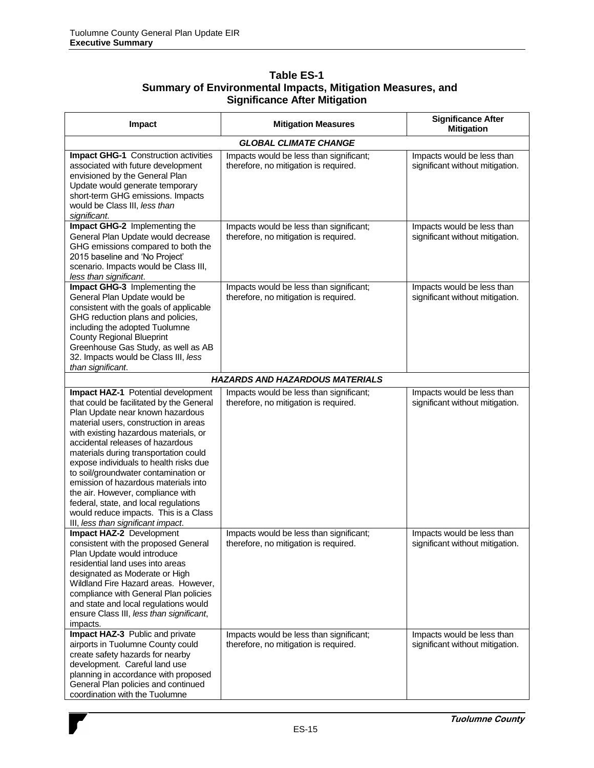| Impact                                                                                                                                                                                                                                                                                                                                                                                                                                                                                                                                                                   | <b>Mitigation Measures</b>                                                                                                                                           | <b>Significance After</b><br><b>Mitigation</b>                                                                                 |
|--------------------------------------------------------------------------------------------------------------------------------------------------------------------------------------------------------------------------------------------------------------------------------------------------------------------------------------------------------------------------------------------------------------------------------------------------------------------------------------------------------------------------------------------------------------------------|----------------------------------------------------------------------------------------------------------------------------------------------------------------------|--------------------------------------------------------------------------------------------------------------------------------|
|                                                                                                                                                                                                                                                                                                                                                                                                                                                                                                                                                                          | <b>GLOBAL CLIMATE CHANGE</b>                                                                                                                                         |                                                                                                                                |
| <b>Impact GHG-1</b> Construction activities<br>associated with future development<br>envisioned by the General Plan<br>Update would generate temporary<br>short-term GHG emissions. Impacts<br>would be Class III, less than<br>significant.                                                                                                                                                                                                                                                                                                                             | Impacts would be less than significant;<br>therefore, no mitigation is required.                                                                                     | Impacts would be less than<br>significant without mitigation.                                                                  |
| Impact GHG-2 Implementing the<br>General Plan Update would decrease<br>GHG emissions compared to both the<br>2015 baseline and 'No Project'<br>scenario. Impacts would be Class III,<br>less than significant.                                                                                                                                                                                                                                                                                                                                                           | Impacts would be less than significant;<br>therefore, no mitigation is required.                                                                                     | Impacts would be less than<br>significant without mitigation.                                                                  |
| Impact GHG-3 Implementing the<br>General Plan Update would be<br>consistent with the goals of applicable<br>GHG reduction plans and policies,<br>including the adopted Tuolumne<br><b>County Regional Blueprint</b><br>Greenhouse Gas Study, as well as AB<br>32. Impacts would be Class III, less<br>than significant.                                                                                                                                                                                                                                                  | Impacts would be less than significant;<br>therefore, no mitigation is required.                                                                                     | Impacts would be less than<br>significant without mitigation.                                                                  |
|                                                                                                                                                                                                                                                                                                                                                                                                                                                                                                                                                                          | <b>HAZARDS AND HAZARDOUS MATERIALS</b>                                                                                                                               |                                                                                                                                |
| Impact HAZ-1 Potential development<br>that could be facilitated by the General<br>Plan Update near known hazardous<br>material users, construction in areas<br>with existing hazardous materials, or<br>accidental releases of hazardous<br>materials during transportation could<br>expose individuals to health risks due<br>to soil/groundwater contamination or<br>emission of hazardous materials into<br>the air. However, compliance with<br>federal, state, and local regulations<br>would reduce impacts. This is a Class<br>III, less than significant impact. | Impacts would be less than significant;<br>therefore, no mitigation is required.                                                                                     | Impacts would be less than<br>significant without mitigation.                                                                  |
| Impact HAZ-2 Development<br>consistent with the proposed General<br>Plan Update would introduce<br>residential land uses into areas<br>designated as Moderate or High<br>Wildland Fire Hazard areas. However,<br>compliance with General Plan policies<br>and state and local regulations would<br>ensure Class III, less than significant,<br>impacts.<br>Impact HAZ-3 Public and private<br>airports in Tuolumne County could<br>create safety hazards for nearby<br>development. Careful land use                                                                     | Impacts would be less than significant;<br>therefore, no mitigation is required.<br>Impacts would be less than significant;<br>therefore, no mitigation is required. | Impacts would be less than<br>significant without mitigation.<br>Impacts would be less than<br>significant without mitigation. |
| planning in accordance with proposed<br>General Plan policies and continued<br>coordination with the Tuolumne                                                                                                                                                                                                                                                                                                                                                                                                                                                            |                                                                                                                                                                      |                                                                                                                                |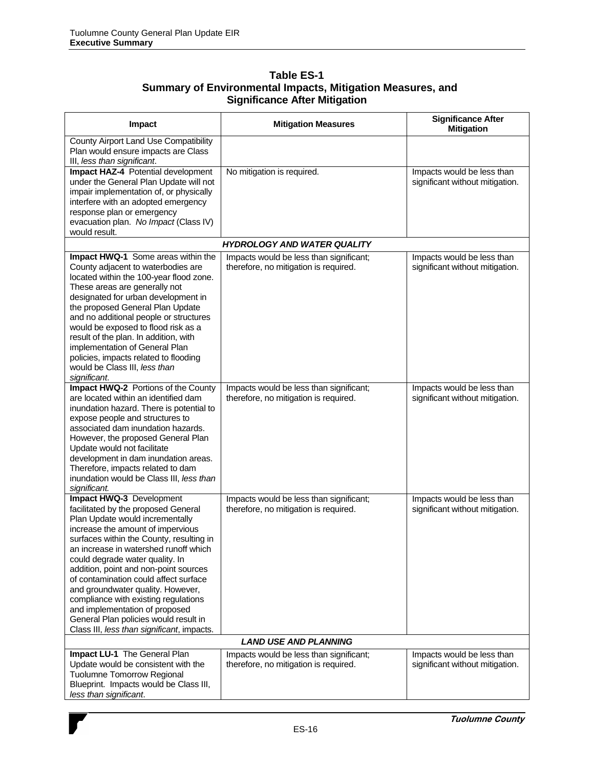| Table ES-1                                                 |  |  |
|------------------------------------------------------------|--|--|
| Summary of Environmental Impacts, Mitigation Measures, and |  |  |
| <b>Significance After Mitigation</b>                       |  |  |

| Impact                                                                                                                                                                                                                                                                                                                                                                                                                                                                                                                                                  | <b>Mitigation Measures</b>                                                       | <b>Significance After</b><br><b>Mitigation</b>                |
|---------------------------------------------------------------------------------------------------------------------------------------------------------------------------------------------------------------------------------------------------------------------------------------------------------------------------------------------------------------------------------------------------------------------------------------------------------------------------------------------------------------------------------------------------------|----------------------------------------------------------------------------------|---------------------------------------------------------------|
| County Airport Land Use Compatibility<br>Plan would ensure impacts are Class<br>III, less than significant.                                                                                                                                                                                                                                                                                                                                                                                                                                             |                                                                                  |                                                               |
| Impact HAZ-4 Potential development<br>under the General Plan Update will not<br>impair implementation of, or physically<br>interfere with an adopted emergency<br>response plan or emergency<br>evacuation plan. No Impact (Class IV)<br>would result.                                                                                                                                                                                                                                                                                                  | No mitigation is required.                                                       | Impacts would be less than<br>significant without mitigation. |
|                                                                                                                                                                                                                                                                                                                                                                                                                                                                                                                                                         | <b>HYDROLOGY AND WATER QUALITY</b>                                               |                                                               |
| Impact HWQ-1 Some areas within the<br>County adjacent to waterbodies are<br>located within the 100-year flood zone.<br>These areas are generally not<br>designated for urban development in<br>the proposed General Plan Update<br>and no additional people or structures<br>would be exposed to flood risk as a<br>result of the plan. In addition, with<br>implementation of General Plan<br>policies, impacts related to flooding<br>would be Class III, less than<br>significant.                                                                   | Impacts would be less than significant;<br>therefore, no mitigation is required. | Impacts would be less than<br>significant without mitigation. |
| Impact HWQ-2 Portions of the County<br>are located within an identified dam<br>inundation hazard. There is potential to<br>expose people and structures to<br>associated dam inundation hazards.<br>However, the proposed General Plan<br>Update would not facilitate<br>development in dam inundation areas.<br>Therefore, impacts related to dam<br>inundation would be Class III, less than<br>significant.                                                                                                                                          | Impacts would be less than significant;<br>therefore, no mitigation is required. | Impacts would be less than<br>significant without mitigation. |
| Impact HWQ-3 Development<br>facilitated by the proposed General<br>Plan Update would incrementally<br>increase the amount of impervious<br>surfaces within the County, resulting in<br>an increase in watershed runoff which<br>could degrade water quality. In<br>addition, point and non-point sources<br>of contamination could affect surface<br>and groundwater quality. However,<br>compliance with existing regulations<br>and implementation of proposed<br>General Plan policies would result in<br>Class III, less than significant, impacts. | Impacts would be less than significant;<br>therefore, no mitigation is required. | Impacts would be less than<br>significant without mitigation. |
| <b>LAND USE AND PLANNING</b>                                                                                                                                                                                                                                                                                                                                                                                                                                                                                                                            |                                                                                  |                                                               |
| Impact LU-1 The General Plan<br>Update would be consistent with the<br>Tuolumne Tomorrow Regional<br>Blueprint. Impacts would be Class III,<br>less than significant.                                                                                                                                                                                                                                                                                                                                                                                   | Impacts would be less than significant;<br>therefore, no mitigation is required. | Impacts would be less than<br>significant without mitigation. |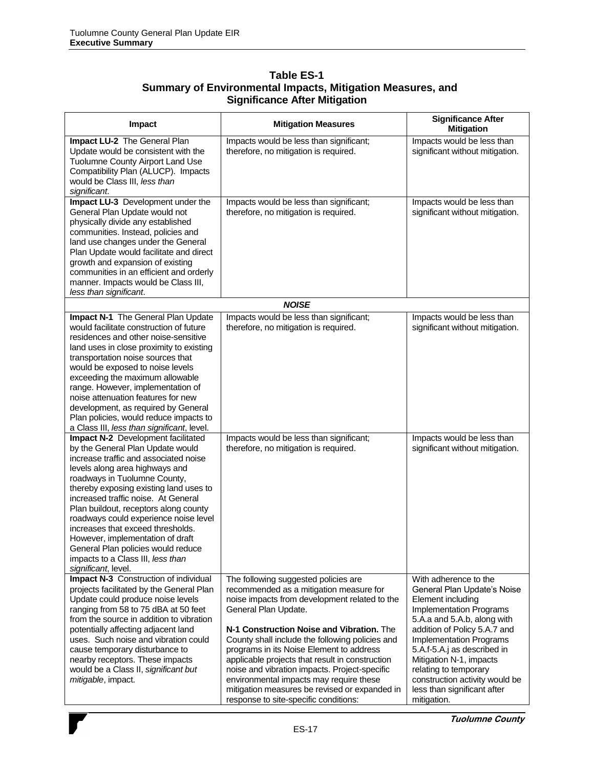| Impact                                                                                                                                                                                                                                                                                                                                                                                                                                                                                                                          | <b>Mitigation Measures</b>                                                                                                                                                                                                                                                                                                                                                                                                                                                                                                                    | <b>Significance After</b><br><b>Mitigation</b>                                                                                                                                                                                                                                                                                                                    |
|---------------------------------------------------------------------------------------------------------------------------------------------------------------------------------------------------------------------------------------------------------------------------------------------------------------------------------------------------------------------------------------------------------------------------------------------------------------------------------------------------------------------------------|-----------------------------------------------------------------------------------------------------------------------------------------------------------------------------------------------------------------------------------------------------------------------------------------------------------------------------------------------------------------------------------------------------------------------------------------------------------------------------------------------------------------------------------------------|-------------------------------------------------------------------------------------------------------------------------------------------------------------------------------------------------------------------------------------------------------------------------------------------------------------------------------------------------------------------|
| Impact LU-2 The General Plan<br>Update would be consistent with the<br>Tuolumne County Airport Land Use<br>Compatibility Plan (ALUCP). Impacts<br>would be Class III, less than<br>significant.                                                                                                                                                                                                                                                                                                                                 | Impacts would be less than significant;<br>therefore, no mitigation is required.                                                                                                                                                                                                                                                                                                                                                                                                                                                              | Impacts would be less than<br>significant without mitigation.                                                                                                                                                                                                                                                                                                     |
| Impact LU-3 Development under the<br>General Plan Update would not<br>physically divide any established<br>communities. Instead, policies and<br>land use changes under the General<br>Plan Update would facilitate and direct<br>growth and expansion of existing<br>communities in an efficient and orderly<br>manner. Impacts would be Class III,<br>less than significant.                                                                                                                                                  | Impacts would be less than significant;<br>therefore, no mitigation is required.                                                                                                                                                                                                                                                                                                                                                                                                                                                              | Impacts would be less than<br>significant without mitigation.                                                                                                                                                                                                                                                                                                     |
|                                                                                                                                                                                                                                                                                                                                                                                                                                                                                                                                 | <b>NOISE</b>                                                                                                                                                                                                                                                                                                                                                                                                                                                                                                                                  |                                                                                                                                                                                                                                                                                                                                                                   |
| Impact N-1 The General Plan Update<br>would facilitate construction of future<br>residences and other noise-sensitive<br>land uses in close proximity to existing<br>transportation noise sources that<br>would be exposed to noise levels<br>exceeding the maximum allowable<br>range. However, implementation of<br>noise attenuation features for new<br>development, as required by General<br>Plan policies, would reduce impacts to<br>a Class III, less than significant, level.                                         | Impacts would be less than significant;<br>therefore, no mitigation is required.                                                                                                                                                                                                                                                                                                                                                                                                                                                              | Impacts would be less than<br>significant without mitigation.                                                                                                                                                                                                                                                                                                     |
| Impact N-2 Development facilitated<br>by the General Plan Update would<br>increase traffic and associated noise<br>levels along area highways and<br>roadways in Tuolumne County,<br>thereby exposing existing land uses to<br>increased traffic noise. At General<br>Plan buildout, receptors along county<br>roadways could experience noise level<br>increases that exceed thresholds.<br>However, implementation of draft<br>General Plan policies would reduce<br>impacts to a Class III, less than<br>significant, level. | Impacts would be less than significant;<br>therefore, no mitigation is required.                                                                                                                                                                                                                                                                                                                                                                                                                                                              | Impacts would be less than<br>significant without mitigation.                                                                                                                                                                                                                                                                                                     |
| Impact N-3 Construction of individual<br>projects facilitated by the General Plan<br>Update could produce noise levels<br>ranging from 58 to 75 dBA at 50 feet<br>from the source in addition to vibration<br>potentially affecting adjacent land<br>uses. Such noise and vibration could<br>cause temporary disturbance to<br>nearby receptors. These impacts<br>would be a Class II, significant but<br>mitigable, impact.                                                                                                    | The following suggested policies are<br>recommended as a mitigation measure for<br>noise impacts from development related to the<br>General Plan Update.<br>N-1 Construction Noise and Vibration. The<br>County shall include the following policies and<br>programs in its Noise Element to address<br>applicable projects that result in construction<br>noise and vibration impacts. Project-specific<br>environmental impacts may require these<br>mitigation measures be revised or expanded in<br>response to site-specific conditions: | With adherence to the<br>General Plan Update's Noise<br>Element including<br>Implementation Programs<br>5.A.a and 5.A.b, along with<br>addition of Policy 5.A.7 and<br>Implementation Programs<br>5.A.f-5.A.j as described in<br>Mitigation N-1, impacts<br>relating to temporary<br>construction activity would be<br>less than significant after<br>mitigation. |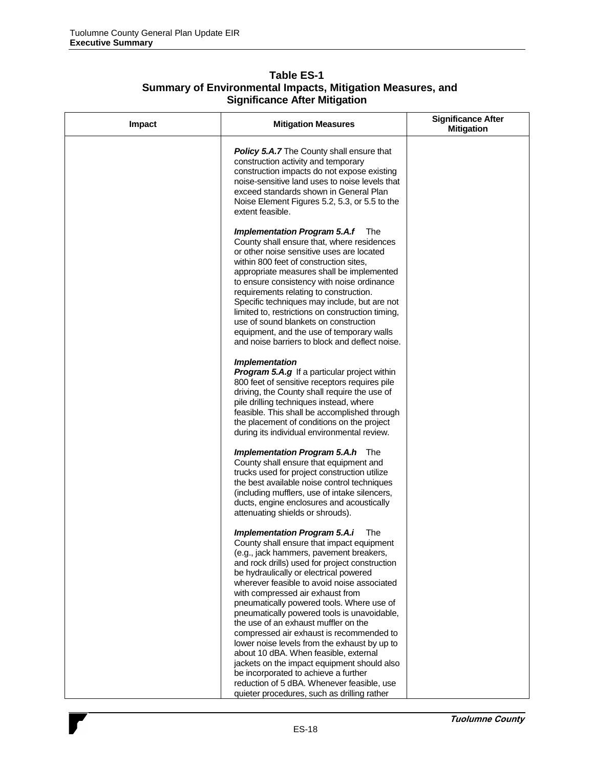| Impact | <b>Mitigation Measures</b>                                                                                                                                                                                                                                                                                                                                                                                                                                                                                                                                       | <b>Significance After</b><br><b>Mitigation</b> |
|--------|------------------------------------------------------------------------------------------------------------------------------------------------------------------------------------------------------------------------------------------------------------------------------------------------------------------------------------------------------------------------------------------------------------------------------------------------------------------------------------------------------------------------------------------------------------------|------------------------------------------------|
|        | <b>Policy 5.A.7</b> The County shall ensure that<br>construction activity and temporary<br>construction impacts do not expose existing<br>noise-sensitive land uses to noise levels that<br>exceed standards shown in General Plan<br>Noise Element Figures 5.2, 5.3, or 5.5 to the<br>extent feasible.                                                                                                                                                                                                                                                          |                                                |
|        | <b>Implementation Program 5.A.f</b><br>The<br>County shall ensure that, where residences<br>or other noise sensitive uses are located<br>within 800 feet of construction sites,<br>appropriate measures shall be implemented<br>to ensure consistency with noise ordinance<br>requirements relating to construction.<br>Specific techniques may include, but are not<br>limited to, restrictions on construction timing,<br>use of sound blankets on construction<br>equipment, and the use of temporary walls<br>and noise barriers to block and deflect noise. |                                                |
|        | <b>Implementation</b><br><b>Program 5.A.g</b> If a particular project within<br>800 feet of sensitive receptors requires pile<br>driving, the County shall require the use of<br>pile drilling techniques instead, where<br>feasible. This shall be accomplished through<br>the placement of conditions on the project<br>during its individual environmental review.                                                                                                                                                                                            |                                                |
|        | <b>Implementation Program 5.A.h</b><br>The<br>County shall ensure that equipment and<br>trucks used for project construction utilize<br>the best available noise control techniques<br>(including mufflers, use of intake silencers,<br>ducts, engine enclosures and acoustically<br>attenuating shields or shrouds).                                                                                                                                                                                                                                            |                                                |
|        | <b>Implementation Program 5.A.i</b><br>The<br>County shall ensure that impact equipment<br>(e.g., jack hammers, pavement breakers,<br>and rock drills) used for project construction<br>be hydraulically or electrical powered<br>wherever feasible to avoid noise associated<br>with compressed air exhaust from<br>pneumatically powered tools. Where use of<br>pneumatically powered tools is unavoidable,<br>the use of an exhaust muffler on the<br>compressed air exhaust is recommended to                                                                |                                                |
|        | lower noise levels from the exhaust by up to<br>about 10 dBA. When feasible, external<br>jackets on the impact equipment should also<br>be incorporated to achieve a further<br>reduction of 5 dBA. Whenever feasible, use<br>quieter procedures, such as drilling rather                                                                                                                                                                                                                                                                                        |                                                |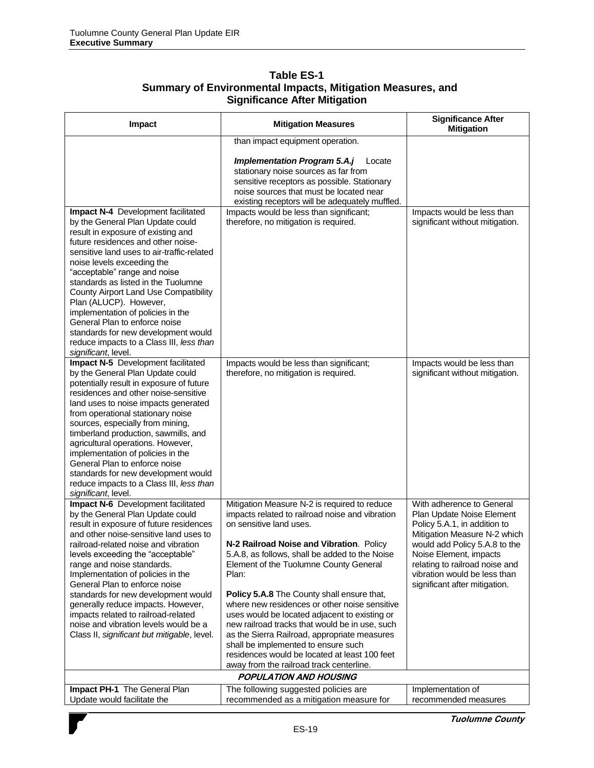| <b>Table ES-1</b>                                          |
|------------------------------------------------------------|
| Summary of Environmental Impacts, Mitigation Measures, and |
| <b>Significance After Mitigation</b>                       |

| Impact                                                                                                                                                                                                                                                                                                                                                                                                                                                                                                                                                   | <b>Mitigation Measures</b>                                                                                                                                                                                                                                                                                                                                                                                                                                                                                                                                                                                                                                                                         | <b>Significance After</b><br><b>Mitigation</b>                                                                                                                                                                                                                                       |
|----------------------------------------------------------------------------------------------------------------------------------------------------------------------------------------------------------------------------------------------------------------------------------------------------------------------------------------------------------------------------------------------------------------------------------------------------------------------------------------------------------------------------------------------------------|----------------------------------------------------------------------------------------------------------------------------------------------------------------------------------------------------------------------------------------------------------------------------------------------------------------------------------------------------------------------------------------------------------------------------------------------------------------------------------------------------------------------------------------------------------------------------------------------------------------------------------------------------------------------------------------------------|--------------------------------------------------------------------------------------------------------------------------------------------------------------------------------------------------------------------------------------------------------------------------------------|
|                                                                                                                                                                                                                                                                                                                                                                                                                                                                                                                                                          | than impact equipment operation.                                                                                                                                                                                                                                                                                                                                                                                                                                                                                                                                                                                                                                                                   |                                                                                                                                                                                                                                                                                      |
|                                                                                                                                                                                                                                                                                                                                                                                                                                                                                                                                                          | <b>Implementation Program 5.A.j</b><br>Locate<br>stationary noise sources as far from<br>sensitive receptors as possible. Stationary<br>noise sources that must be located near<br>existing receptors will be adequately muffled.                                                                                                                                                                                                                                                                                                                                                                                                                                                                  |                                                                                                                                                                                                                                                                                      |
| Impact N-4 Development facilitated<br>by the General Plan Update could<br>result in exposure of existing and<br>future residences and other noise-<br>sensitive land uses to air-traffic-related<br>noise levels exceeding the<br>"acceptable" range and noise<br>standards as listed in the Tuolumne<br>County Airport Land Use Compatibility<br>Plan (ALUCP). However,<br>implementation of policies in the<br>General Plan to enforce noise<br>standards for new development would<br>reduce impacts to a Class III, less than<br>significant, level. | Impacts would be less than significant;<br>therefore, no mitigation is required.                                                                                                                                                                                                                                                                                                                                                                                                                                                                                                                                                                                                                   | Impacts would be less than<br>significant without mitigation.                                                                                                                                                                                                                        |
| Impact N-5 Development facilitated<br>by the General Plan Update could<br>potentially result in exposure of future<br>residences and other noise-sensitive<br>land uses to noise impacts generated<br>from operational stationary noise<br>sources, especially from mining,<br>timberland production, sawmills, and<br>agricultural operations. However,<br>implementation of policies in the<br>General Plan to enforce noise<br>standards for new development would<br>reduce impacts to a Class III, less than<br>significant, level.                 | Impacts would be less than significant;<br>therefore, no mitigation is required.                                                                                                                                                                                                                                                                                                                                                                                                                                                                                                                                                                                                                   | Impacts would be less than<br>significant without mitigation.                                                                                                                                                                                                                        |
| Impact N-6 Development facilitated<br>by the General Plan Update could<br>result in exposure of future residences<br>and other noise-sensitive land uses to<br>railroad-related noise and vibration<br>levels exceeding the "acceptable"<br>range and noise standards.<br>Implementation of policies in the<br>General Plan to enforce noise<br>standards for new development would<br>generally reduce impacts. However,<br>impacts related to railroad-related<br>noise and vibration levels would be a<br>Class II, significant but mitigable, level. | Mitigation Measure N-2 is required to reduce<br>impacts related to railroad noise and vibration<br>on sensitive land uses.<br>N-2 Railroad Noise and Vibration. Policy<br>5.A.8, as follows, shall be added to the Noise<br>Element of the Tuolumne County General<br>Plan:<br>Policy 5.A.8 The County shall ensure that,<br>where new residences or other noise sensitive<br>uses would be located adjacent to existing or<br>new railroad tracks that would be in use, such<br>as the Sierra Railroad, appropriate measures<br>shall be implemented to ensure such<br>residences would be located at least 100 feet<br>away from the railroad track centerline.<br><b>POPULATION AND HOUSING</b> | With adherence to General<br>Plan Update Noise Element<br>Policy 5.A.1, in addition to<br>Mitigation Measure N-2 which<br>would add Policy 5.A.8 to the<br>Noise Element, impacts<br>relating to railroad noise and<br>vibration would be less than<br>significant after mitigation. |
| Impact PH-1 The General Plan                                                                                                                                                                                                                                                                                                                                                                                                                                                                                                                             | The following suggested policies are                                                                                                                                                                                                                                                                                                                                                                                                                                                                                                                                                                                                                                                               | Implementation of                                                                                                                                                                                                                                                                    |
| Update would facilitate the                                                                                                                                                                                                                                                                                                                                                                                                                                                                                                                              | recommended as a mitigation measure for                                                                                                                                                                                                                                                                                                                                                                                                                                                                                                                                                                                                                                                            | recommended measures                                                                                                                                                                                                                                                                 |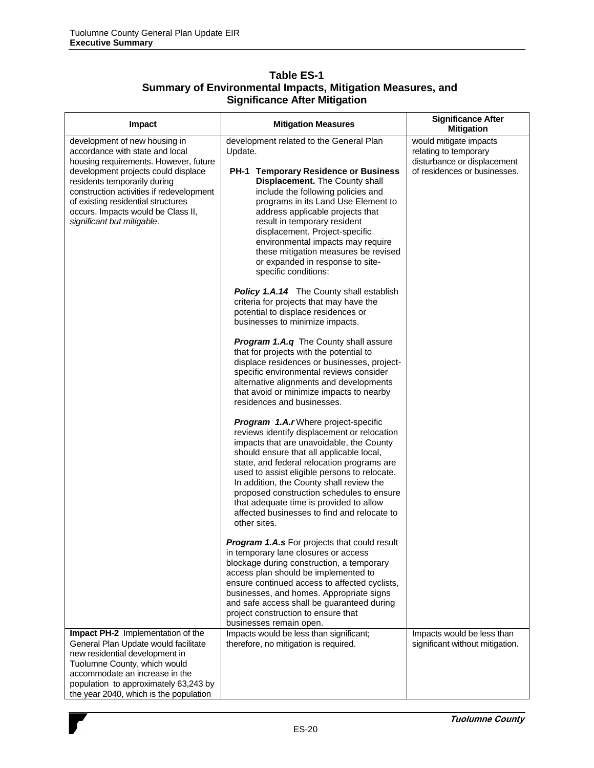| Table ES-1                                                 |  |
|------------------------------------------------------------|--|
| Summary of Environmental Impacts, Mitigation Measures, and |  |
| <b>Significance After Mitigation</b>                       |  |

| Impact                                                                                                                                                                                                                                                                                                                                 | <b>Mitigation Measures</b>                                                                                                                                                                                                                                                                                                                                                                                                                                                          | <b>Significance After</b><br><b>Mitigation</b>                                                                 |
|----------------------------------------------------------------------------------------------------------------------------------------------------------------------------------------------------------------------------------------------------------------------------------------------------------------------------------------|-------------------------------------------------------------------------------------------------------------------------------------------------------------------------------------------------------------------------------------------------------------------------------------------------------------------------------------------------------------------------------------------------------------------------------------------------------------------------------------|----------------------------------------------------------------------------------------------------------------|
| development of new housing in<br>accordance with state and local<br>housing requirements. However, future<br>development projects could displace<br>residents temporarily during<br>construction activities if redevelopment<br>of existing residential structures<br>occurs. Impacts would be Class II,<br>significant but mitigable. | development related to the General Plan<br>Update.<br>PH-1 Temporary Residence or Business<br>Displacement. The County shall<br>include the following policies and<br>programs in its Land Use Element to<br>address applicable projects that<br>result in temporary resident<br>displacement. Project-specific<br>environmental impacts may require<br>these mitigation measures be revised<br>or expanded in response to site-<br>specific conditions:                            | would mitigate impacts<br>relating to temporary<br>disturbance or displacement<br>of residences or businesses. |
|                                                                                                                                                                                                                                                                                                                                        | <b>Policy 1.A.14</b> The County shall establish<br>criteria for projects that may have the<br>potential to displace residences or<br>businesses to minimize impacts.                                                                                                                                                                                                                                                                                                                |                                                                                                                |
|                                                                                                                                                                                                                                                                                                                                        | <b>Program 1.A.q</b> The County shall assure<br>that for projects with the potential to<br>displace residences or businesses, project-<br>specific environmental reviews consider<br>alternative alignments and developments<br>that avoid or minimize impacts to nearby<br>residences and businesses.                                                                                                                                                                              |                                                                                                                |
|                                                                                                                                                                                                                                                                                                                                        | <b>Program 1.A.r</b> Where project-specific<br>reviews identify displacement or relocation<br>impacts that are unavoidable, the County<br>should ensure that all applicable local,<br>state, and federal relocation programs are<br>used to assist eligible persons to relocate.<br>In addition, the County shall review the<br>proposed construction schedules to ensure<br>that adequate time is provided to allow<br>affected businesses to find and relocate to<br>other sites. |                                                                                                                |
|                                                                                                                                                                                                                                                                                                                                        | <b>Program 1.A.s</b> For projects that could result<br>in temporary lane closures or access<br>blockage during construction, a temporary<br>access plan should be implemented to<br>ensure continued access to affected cyclists,<br>businesses, and homes. Appropriate signs<br>and safe access shall be guaranteed during<br>project construction to ensure that<br>businesses remain open.                                                                                       |                                                                                                                |
| Impact PH-2 Implementation of the<br>General Plan Update would facilitate<br>new residential development in<br>Tuolumne County, which would<br>accommodate an increase in the<br>population to approximately 63,243 by<br>the year 2040, which is the population                                                                       | Impacts would be less than significant;<br>therefore, no mitigation is required.                                                                                                                                                                                                                                                                                                                                                                                                    | Impacts would be less than<br>significant without mitigation.                                                  |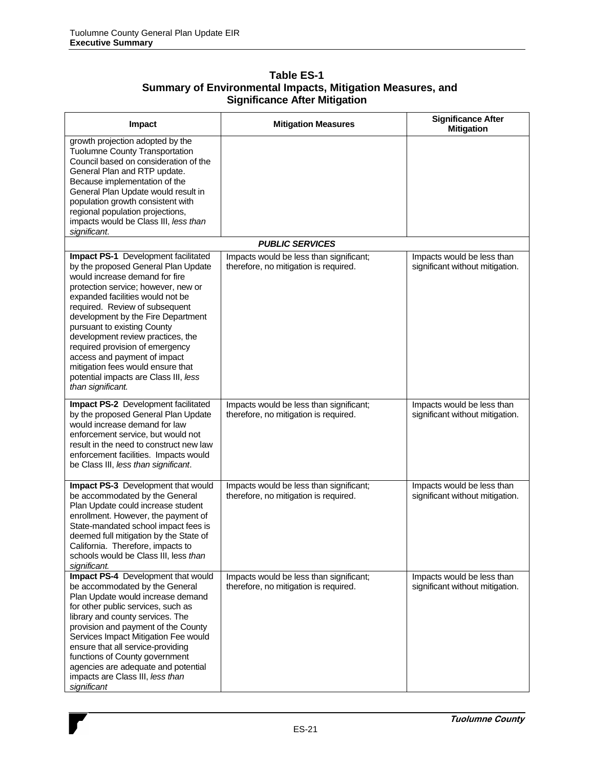| <b>Table ES-1</b>                                          |  |
|------------------------------------------------------------|--|
| Summary of Environmental Impacts, Mitigation Measures, and |  |
| <b>Significance After Mitigation</b>                       |  |

| Impact                                                                                                                                                                                                                                                                                                                                                                                                                                                                                                    | <b>Mitigation Measures</b>                                                       | <b>Significance After</b>                                     |
|-----------------------------------------------------------------------------------------------------------------------------------------------------------------------------------------------------------------------------------------------------------------------------------------------------------------------------------------------------------------------------------------------------------------------------------------------------------------------------------------------------------|----------------------------------------------------------------------------------|---------------------------------------------------------------|
| growth projection adopted by the<br><b>Tuolumne County Transportation</b><br>Council based on consideration of the<br>General Plan and RTP update.<br>Because implementation of the<br>General Plan Update would result in<br>population growth consistent with<br>regional population projections,<br>impacts would be Class III, less than<br>significant.                                                                                                                                              |                                                                                  | <b>Mitigation</b>                                             |
|                                                                                                                                                                                                                                                                                                                                                                                                                                                                                                           | <b>PUBLIC SERVICES</b>                                                           |                                                               |
| Impact PS-1 Development facilitated<br>by the proposed General Plan Update<br>would increase demand for fire<br>protection service; however, new or<br>expanded facilities would not be<br>required. Review of subsequent<br>development by the Fire Department<br>pursuant to existing County<br>development review practices, the<br>required provision of emergency<br>access and payment of impact<br>mitigation fees would ensure that<br>potential impacts are Class III, less<br>than significant. | Impacts would be less than significant;<br>therefore, no mitigation is required. | Impacts would be less than<br>significant without mitigation. |
| <b>Impact PS-2</b> Development facilitated<br>by the proposed General Plan Update<br>would increase demand for law<br>enforcement service, but would not<br>result in the need to construct new law<br>enforcement facilities. Impacts would<br>be Class III, less than significant.                                                                                                                                                                                                                      | Impacts would be less than significant;<br>therefore, no mitigation is required. | Impacts would be less than<br>significant without mitigation. |
| Impact PS-3 Development that would<br>be accommodated by the General<br>Plan Update could increase student<br>enrollment. However, the payment of<br>State-mandated school impact fees is<br>deemed full mitigation by the State of<br>California. Therefore, impacts to<br>schools would be Class III, less than<br>significant.                                                                                                                                                                         | Impacts would be less than significant;<br>therefore, no mitigation is required. | Impacts would be less than<br>significant without mitigation. |
| Impact PS-4 Development that would<br>be accommodated by the General<br>Plan Update would increase demand<br>for other public services, such as<br>library and county services. The<br>provision and payment of the County<br>Services Impact Mitigation Fee would<br>ensure that all service-providing<br>functions of County government<br>agencies are adequate and potential<br>impacts are Class III, less than<br>significant                                                                       | Impacts would be less than significant;<br>therefore, no mitigation is required. | Impacts would be less than<br>significant without mitigation. |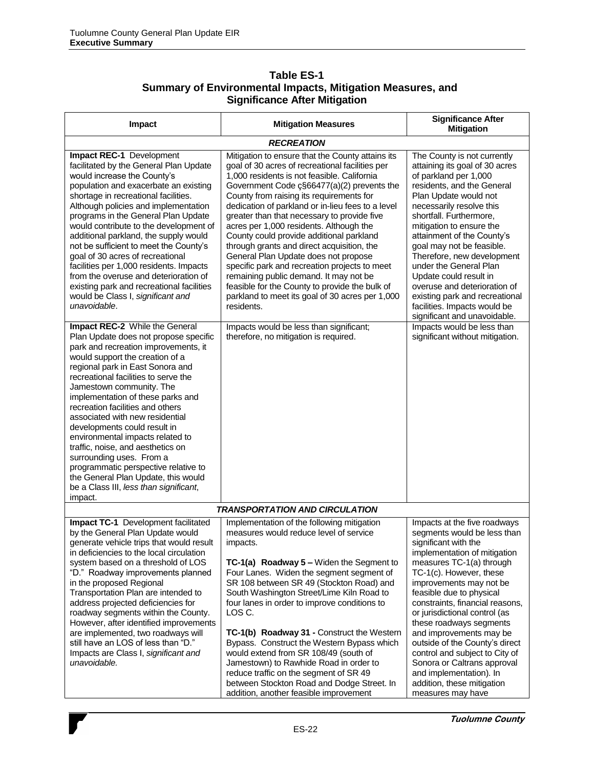| <b>Table ES-1</b>                                          |  |
|------------------------------------------------------------|--|
| Summary of Environmental Impacts, Mitigation Measures, and |  |
| <b>Significance After Mitigation</b>                       |  |

| <b>Impact</b>                                                                                                                                                                                                                                                                                                                                                                                                                                                                                                                                                                                                                                   | <b>Mitigation Measures</b>                                                                                                                                                                                                                                                                                                                                                                                                                                                                                                                                                                                                                                                                                                                  | <b>Significance After</b><br><b>Mitigation</b>                                                                                                                                                                                                                                                                                                                                                                                                                                                                                               |
|-------------------------------------------------------------------------------------------------------------------------------------------------------------------------------------------------------------------------------------------------------------------------------------------------------------------------------------------------------------------------------------------------------------------------------------------------------------------------------------------------------------------------------------------------------------------------------------------------------------------------------------------------|---------------------------------------------------------------------------------------------------------------------------------------------------------------------------------------------------------------------------------------------------------------------------------------------------------------------------------------------------------------------------------------------------------------------------------------------------------------------------------------------------------------------------------------------------------------------------------------------------------------------------------------------------------------------------------------------------------------------------------------------|----------------------------------------------------------------------------------------------------------------------------------------------------------------------------------------------------------------------------------------------------------------------------------------------------------------------------------------------------------------------------------------------------------------------------------------------------------------------------------------------------------------------------------------------|
|                                                                                                                                                                                                                                                                                                                                                                                                                                                                                                                                                                                                                                                 | <b>RECREATION</b>                                                                                                                                                                                                                                                                                                                                                                                                                                                                                                                                                                                                                                                                                                                           |                                                                                                                                                                                                                                                                                                                                                                                                                                                                                                                                              |
| Impact REC-1 Development<br>facilitated by the General Plan Update<br>would increase the County's<br>population and exacerbate an existing<br>shortage in recreational facilities.<br>Although policies and implementation<br>programs in the General Plan Update<br>would contribute to the development of<br>additional parkland, the supply would<br>not be sufficient to meet the County's<br>goal of 30 acres of recreational<br>facilities per 1,000 residents. Impacts<br>from the overuse and deterioration of<br>existing park and recreational facilities<br>would be Class I, significant and<br>unavoidable.                        | Mitigation to ensure that the County attains its<br>goal of 30 acres of recreational facilities per<br>1,000 residents is not feasible. California<br>Government Code c§66477(a)(2) prevents the<br>County from raising its requirements for<br>dedication of parkland or in-lieu fees to a level<br>greater than that necessary to provide five<br>acres per 1,000 residents. Although the<br>County could provide additional parkland<br>through grants and direct acquisition, the<br>General Plan Update does not propose<br>specific park and recreation projects to meet<br>remaining public demand. It may not be<br>feasible for the County to provide the bulk of<br>parkland to meet its goal of 30 acres per 1,000<br>residents. | The County is not currently<br>attaining its goal of 30 acres<br>of parkland per 1,000<br>residents, and the General<br>Plan Update would not<br>necessarily resolve this<br>shortfall. Furthermore,<br>mitigation to ensure the<br>attainment of the County's<br>goal may not be feasible.<br>Therefore, new development<br>under the General Plan<br>Update could result in<br>overuse and deterioration of<br>existing park and recreational<br>facilities. Impacts would be<br>significant and unavoidable.                              |
| Impact REC-2 While the General<br>Plan Update does not propose specific<br>park and recreation improvements, it<br>would support the creation of a<br>regional park in East Sonora and<br>recreational facilities to serve the<br>Jamestown community. The<br>implementation of these parks and<br>recreation facilities and others<br>associated with new residential<br>developments could result in<br>environmental impacts related to<br>traffic, noise, and aesthetics on<br>surrounding uses. From a<br>programmatic perspective relative to<br>the General Plan Update, this would<br>be a Class III, less than significant,<br>impact. | Impacts would be less than significant;<br>therefore, no mitigation is required.                                                                                                                                                                                                                                                                                                                                                                                                                                                                                                                                                                                                                                                            | Impacts would be less than<br>significant without mitigation.                                                                                                                                                                                                                                                                                                                                                                                                                                                                                |
|                                                                                                                                                                                                                                                                                                                                                                                                                                                                                                                                                                                                                                                 | <b>TRANSPORTATION AND CIRCULATION</b>                                                                                                                                                                                                                                                                                                                                                                                                                                                                                                                                                                                                                                                                                                       |                                                                                                                                                                                                                                                                                                                                                                                                                                                                                                                                              |
| Impact TC-1 Development facilitated<br>by the General Plan Update would<br>generate vehicle trips that would result<br>in deficiencies to the local circulation<br>system based on a threshold of LOS<br>"D." Roadway improvements planned<br>in the proposed Regional<br>Transportation Plan are intended to<br>address projected deficiencies for<br>roadway segments within the County.<br>However, after identified improvements<br>are implemented, two roadways will<br>still have an LOS of less than "D."<br>Impacts are Class I, significant and<br>unavoidable.                                                                       | Implementation of the following mitigation<br>measures would reduce level of service<br>impacts.<br>$TC-1(a)$ Roadway $5 -$ Widen the Segment to<br>Four Lanes. Widen the segment segment of<br>SR 108 between SR 49 (Stockton Road) and<br>South Washington Street/Lime Kiln Road to<br>four lanes in order to improve conditions to<br>LOS C.<br>TC-1(b) Roadway 31 - Construct the Western<br>Bypass. Construct the Western Bypass which<br>would extend from SR 108/49 (south of<br>Jamestown) to Rawhide Road in order to<br>reduce traffic on the segment of SR 49<br>between Stockton Road and Dodge Street. In<br>addition, another feasible improvement                                                                            | Impacts at the five roadways<br>segments would be less than<br>significant with the<br>implementation of mitigation<br>measures TC-1(a) through<br>TC-1(c). However, these<br>improvements may not be<br>feasible due to physical<br>constraints, financial reasons,<br>or jurisdictional control (as<br>these roadways segments<br>and improvements may be<br>outside of the County's direct<br>control and subject to City of<br>Sonora or Caltrans approval<br>and implementation). In<br>addition, these mitigation<br>measures may have |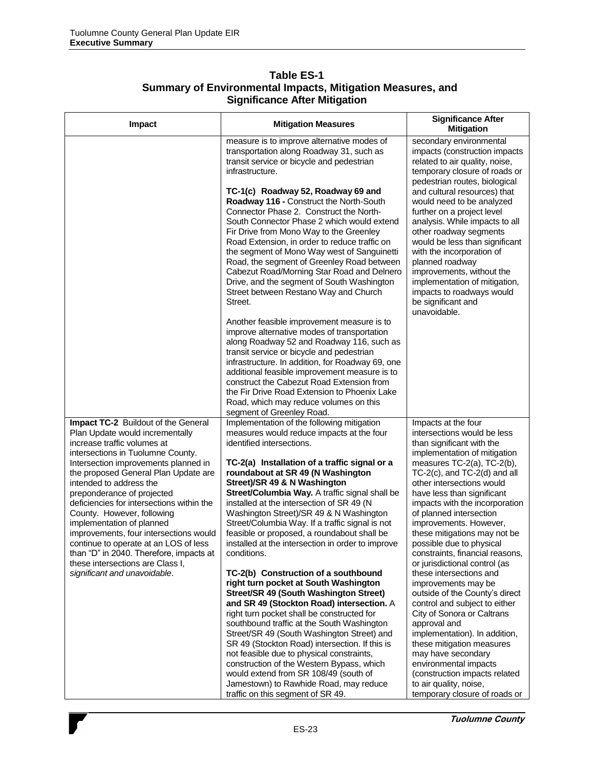| <b>Table ES-1</b>                                          |  |
|------------------------------------------------------------|--|
| Summary of Environmental Impacts, Mitigation Measures, and |  |
| <b>Significance After Mitigation</b>                       |  |

| Impact                                                                                                                                                                                                                                                                                                                                                                                                                                                                                                                                                                                        | <b>Mitigation Measures</b>                                                                                                                                                                                                                                                                                                                                                                                                                                                                                                                                                                                                                  | <b>Significance After</b><br><b>Mitigation</b>                                                                                                                                                                                                                                                                                                                                                                                                                                                                         |
|-----------------------------------------------------------------------------------------------------------------------------------------------------------------------------------------------------------------------------------------------------------------------------------------------------------------------------------------------------------------------------------------------------------------------------------------------------------------------------------------------------------------------------------------------------------------------------------------------|---------------------------------------------------------------------------------------------------------------------------------------------------------------------------------------------------------------------------------------------------------------------------------------------------------------------------------------------------------------------------------------------------------------------------------------------------------------------------------------------------------------------------------------------------------------------------------------------------------------------------------------------|------------------------------------------------------------------------------------------------------------------------------------------------------------------------------------------------------------------------------------------------------------------------------------------------------------------------------------------------------------------------------------------------------------------------------------------------------------------------------------------------------------------------|
|                                                                                                                                                                                                                                                                                                                                                                                                                                                                                                                                                                                               | measure is to improve alternative modes of<br>transportation along Roadway 31, such as<br>transit service or bicycle and pedestrian<br>infrastructure.                                                                                                                                                                                                                                                                                                                                                                                                                                                                                      | secondary environmental<br>impacts (construction impacts<br>related to air quality, noise,<br>temporary closure of roads or<br>pedestrian routes, biological                                                                                                                                                                                                                                                                                                                                                           |
|                                                                                                                                                                                                                                                                                                                                                                                                                                                                                                                                                                                               | TC-1(c) Roadway 52, Roadway 69 and<br>Roadway 116 - Construct the North-South<br>Connector Phase 2. Construct the North-<br>South Connector Phase 2 which would extend<br>Fir Drive from Mono Way to the Greenley<br>Road Extension, in order to reduce traffic on<br>the segment of Mono Way west of Sanguinetti<br>Road, the segment of Greenley Road between<br>Cabezut Road/Morning Star Road and Delnero<br>Drive, and the segment of South Washington<br>Street between Restano Way and Church<br>Street.                                                                                                                             | and cultural resources) that<br>would need to be analyzed<br>further on a project level<br>analysis. While impacts to all<br>other roadway segments<br>would be less than significant<br>with the incorporation of<br>planned roadway<br>improvements, without the<br>implementation of mitigation,<br>impacts to roadways would<br>be significant and<br>unavoidable.                                                                                                                                                 |
|                                                                                                                                                                                                                                                                                                                                                                                                                                                                                                                                                                                               | Another feasible improvement measure is to<br>improve alternative modes of transportation<br>along Roadway 52 and Roadway 116, such as<br>transit service or bicycle and pedestrian<br>infrastructure. In addition, for Roadway 69, one<br>additional feasible improvement measure is to<br>construct the Cabezut Road Extension from<br>the Fir Drive Road Extension to Phoenix Lake                                                                                                                                                                                                                                                       |                                                                                                                                                                                                                                                                                                                                                                                                                                                                                                                        |
|                                                                                                                                                                                                                                                                                                                                                                                                                                                                                                                                                                                               | Road, which may reduce volumes on this<br>segment of Greenley Road.                                                                                                                                                                                                                                                                                                                                                                                                                                                                                                                                                                         |                                                                                                                                                                                                                                                                                                                                                                                                                                                                                                                        |
| Impact TC-2 Buildout of the General<br>Plan Update would incrementally<br>increase traffic volumes at<br>intersections in Tuolumne County.<br>Intersection improvements planned in<br>the proposed General Plan Update are<br>intended to address the<br>preponderance of projected<br>deficiencies for intersections within the<br>County. However, following<br>implementation of planned<br>improvements, four intersections would<br>continue to operate at an LOS of less<br>than "D" in 2040. Therefore, impacts at<br>these intersections are Class I,<br>significant and unavoidable. | Implementation of the following mitigation<br>measures would reduce impacts at the four<br>identified intersections.<br>TC-2(a) Installation of a traffic signal or a<br>roundabout at SR 49 (N Washington<br>Street)/SR 49 & N Washington<br>Street/Columbia Way. A traffic signal shall be<br>installed at the intersection of SR 49 (N<br>Washington Street)/SR 49 & N Washington<br>Street/Columbia Way. If a traffic signal is not<br>feasible or proposed, a roundabout shall be<br>installed at the intersection in order to improve<br>conditions.<br>TC-2(b) Construction of a southbound<br>right turn pocket at South Washington | Impacts at the four<br>intersections would be less<br>than significant with the<br>implementation of mitigation<br>measures TC-2(a), TC-2(b),<br>$TC-2(c)$ , and $TC-2(d)$ and all<br>other intersections would<br>have less than significant<br>impacts with the incorporation<br>of planned intersection<br>improvements. However,<br>these mitigations may not be<br>possible due to physical<br>constraints, financial reasons,<br>or jurisdictional control (as<br>these intersections and<br>improvements may be |
|                                                                                                                                                                                                                                                                                                                                                                                                                                                                                                                                                                                               | <b>Street/SR 49 (South Washington Street)</b><br>and SR 49 (Stockton Road) intersection. A<br>right turn pocket shall be constructed for<br>southbound traffic at the South Washington<br>Street/SR 49 (South Washington Street) and<br>SR 49 (Stockton Road) intersection. If this is<br>not feasible due to physical constraints,<br>construction of the Western Bypass, which<br>would extend from SR 108/49 (south of<br>Jamestown) to Rawhide Road, may reduce                                                                                                                                                                         | outside of the County's direct<br>control and subject to either<br>City of Sonora or Caltrans<br>approval and<br>implementation). In addition,<br>these mitigation measures<br>may have secondary<br>environmental impacts<br>(construction impacts related<br>to air quality, noise,                                                                                                                                                                                                                                  |
|                                                                                                                                                                                                                                                                                                                                                                                                                                                                                                                                                                                               | traffic on this segment of SR 49.                                                                                                                                                                                                                                                                                                                                                                                                                                                                                                                                                                                                           | temporary closure of roads or                                                                                                                                                                                                                                                                                                                                                                                                                                                                                          |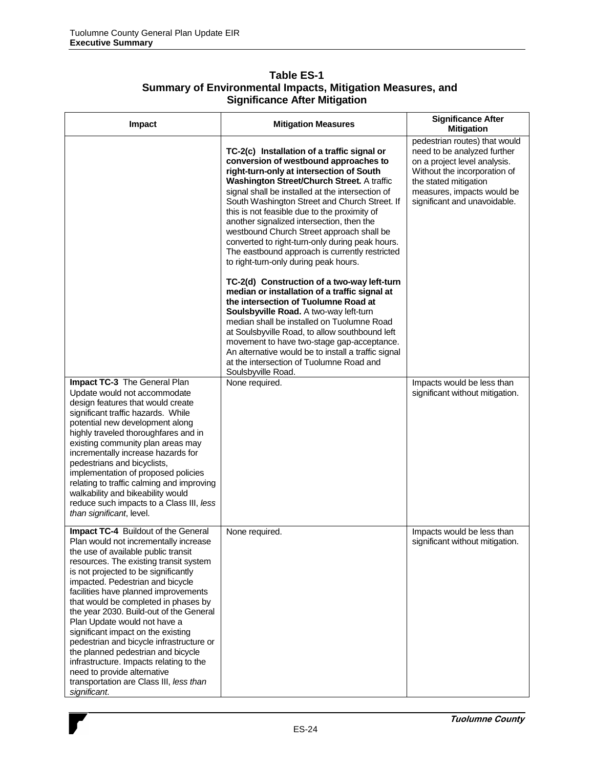| Table ES-1                                                 |  |
|------------------------------------------------------------|--|
| Summary of Environmental Impacts, Mitigation Measures, and |  |
| <b>Significance After Mitigation</b>                       |  |

| Impact                                                                                                                                                                                                                                                                                                                                                                                                                                                                                                                                                                                                                                                            | <b>Mitigation Measures</b>                                                                                                                                                                                                                                                                                                                                                                                                                                                                                                                                                                                                                                                                                                                                                                                                                                                                                                                                                                                                           | <b>Significance After</b><br><b>Mitigation</b>                                                                                                                                                                      |
|-------------------------------------------------------------------------------------------------------------------------------------------------------------------------------------------------------------------------------------------------------------------------------------------------------------------------------------------------------------------------------------------------------------------------------------------------------------------------------------------------------------------------------------------------------------------------------------------------------------------------------------------------------------------|--------------------------------------------------------------------------------------------------------------------------------------------------------------------------------------------------------------------------------------------------------------------------------------------------------------------------------------------------------------------------------------------------------------------------------------------------------------------------------------------------------------------------------------------------------------------------------------------------------------------------------------------------------------------------------------------------------------------------------------------------------------------------------------------------------------------------------------------------------------------------------------------------------------------------------------------------------------------------------------------------------------------------------------|---------------------------------------------------------------------------------------------------------------------------------------------------------------------------------------------------------------------|
|                                                                                                                                                                                                                                                                                                                                                                                                                                                                                                                                                                                                                                                                   | TC-2(c) Installation of a traffic signal or<br>conversion of westbound approaches to<br>right-turn-only at intersection of South<br>Washington Street/Church Street. A traffic<br>signal shall be installed at the intersection of<br>South Washington Street and Church Street. If<br>this is not feasible due to the proximity of<br>another signalized intersection, then the<br>westbound Church Street approach shall be<br>converted to right-turn-only during peak hours.<br>The eastbound approach is currently restricted<br>to right-turn-only during peak hours.<br>TC-2(d) Construction of a two-way left-turn<br>median or installation of a traffic signal at<br>the intersection of Tuolumne Road at<br>Soulsbyville Road. A two-way left-turn<br>median shall be installed on Tuolumne Road<br>at Soulsbyville Road, to allow southbound left<br>movement to have two-stage gap-acceptance.<br>An alternative would be to install a traffic signal<br>at the intersection of Tuolumne Road and<br>Soulsbyville Road. | pedestrian routes) that would<br>need to be analyzed further<br>on a project level analysis.<br>Without the incorporation of<br>the stated mitigation<br>measures, impacts would be<br>significant and unavoidable. |
| Impact TC-3 The General Plan<br>Update would not accommodate<br>design features that would create<br>significant traffic hazards. While<br>potential new development along<br>highly traveled thoroughfares and in<br>existing community plan areas may<br>incrementally increase hazards for<br>pedestrians and bicyclists,<br>implementation of proposed policies<br>relating to traffic calming and improving<br>walkability and bikeability would<br>reduce such impacts to a Class III, less<br>than significant, level.                                                                                                                                     | None required.                                                                                                                                                                                                                                                                                                                                                                                                                                                                                                                                                                                                                                                                                                                                                                                                                                                                                                                                                                                                                       | Impacts would be less than<br>significant without mitigation.                                                                                                                                                       |
| Impact TC-4 Buildout of the General<br>Plan would not incrementally increase<br>the use of available public transit<br>resources. The existing transit system<br>is not projected to be significantly<br>impacted. Pedestrian and bicycle<br>facilities have planned improvements<br>that would be completed in phases by<br>the year 2030. Build-out of the General<br>Plan Update would not have a<br>significant impact on the existing<br>pedestrian and bicycle infrastructure or<br>the planned pedestrian and bicycle<br>infrastructure. Impacts relating to the<br>need to provide alternative<br>transportation are Class III, less than<br>significant. | None required.                                                                                                                                                                                                                                                                                                                                                                                                                                                                                                                                                                                                                                                                                                                                                                                                                                                                                                                                                                                                                       | Impacts would be less than<br>significant without mitigation.                                                                                                                                                       |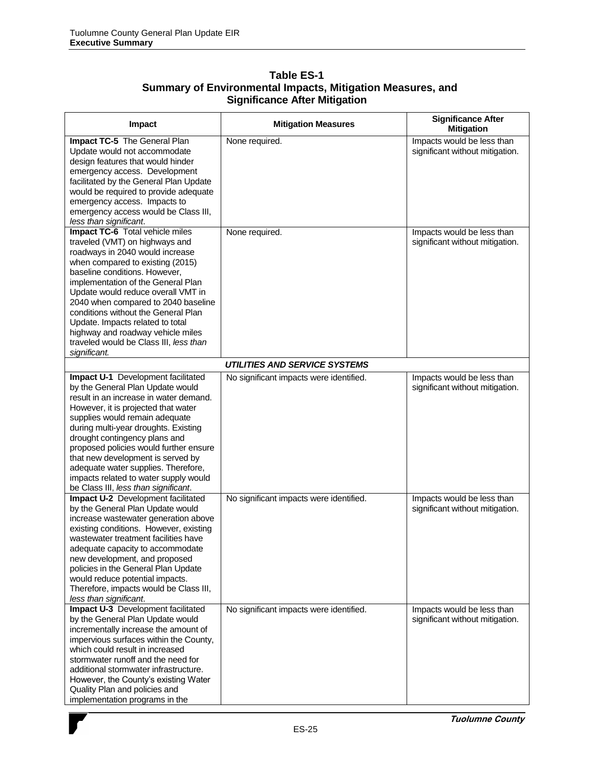| Table ES-1                                                 |  |
|------------------------------------------------------------|--|
| Summary of Environmental Impacts, Mitigation Measures, and |  |
| <b>Significance After Mitigation</b>                       |  |

| Impact                                                                                                                                                                                                                                                                                                                                                                                                                                                                    | <b>Mitigation Measures</b>              | <b>Significance After</b><br><b>Mitigation</b>                |
|---------------------------------------------------------------------------------------------------------------------------------------------------------------------------------------------------------------------------------------------------------------------------------------------------------------------------------------------------------------------------------------------------------------------------------------------------------------------------|-----------------------------------------|---------------------------------------------------------------|
| Impact TC-5 The General Plan<br>Update would not accommodate<br>design features that would hinder<br>emergency access. Development<br>facilitated by the General Plan Update<br>would be required to provide adequate<br>emergency access. Impacts to<br>emergency access would be Class III,<br>less than significant.                                                                                                                                                   | None required.                          | Impacts would be less than<br>significant without mitigation. |
| Impact TC-6 Total vehicle miles<br>traveled (VMT) on highways and<br>roadways in 2040 would increase<br>when compared to existing (2015)<br>baseline conditions. However,<br>implementation of the General Plan<br>Update would reduce overall VMT in<br>2040 when compared to 2040 baseline<br>conditions without the General Plan<br>Update. Impacts related to total<br>highway and roadway vehicle miles<br>traveled would be Class III, less than<br>significant.    | None required.                          | Impacts would be less than<br>significant without mitigation. |
|                                                                                                                                                                                                                                                                                                                                                                                                                                                                           | <b>UTILITIES AND SERVICE SYSTEMS</b>    |                                                               |
| Impact U-1 Development facilitated<br>by the General Plan Update would<br>result in an increase in water demand.<br>However, it is projected that water<br>supplies would remain adequate<br>during multi-year droughts. Existing<br>drought contingency plans and<br>proposed policies would further ensure<br>that new development is served by<br>adequate water supplies. Therefore,<br>impacts related to water supply would<br>be Class III, less than significant. | No significant impacts were identified. | Impacts would be less than<br>significant without mitigation. |
| Impact U-2 Development facilitated<br>by the General Plan Update would<br>increase wastewater generation above<br>existing conditions. However, existing<br>wastewater treatment facilities have<br>adequate capacity to accommodate<br>new development, and proposed<br>policies in the General Plan Update<br>would reduce potential impacts.<br>Therefore, impacts would be Class III,<br>less than significant.                                                       | No significant impacts were identified. | Impacts would be less than<br>significant without mitigation. |
| Impact U-3 Development facilitated<br>by the General Plan Update would<br>incrementally increase the amount of<br>impervious surfaces within the County,<br>which could result in increased<br>stormwater runoff and the need for<br>additional stormwater infrastructure.<br>However, the County's existing Water<br>Quality Plan and policies and<br>implementation programs in the                                                                                     | No significant impacts were identified. | Impacts would be less than<br>significant without mitigation. |